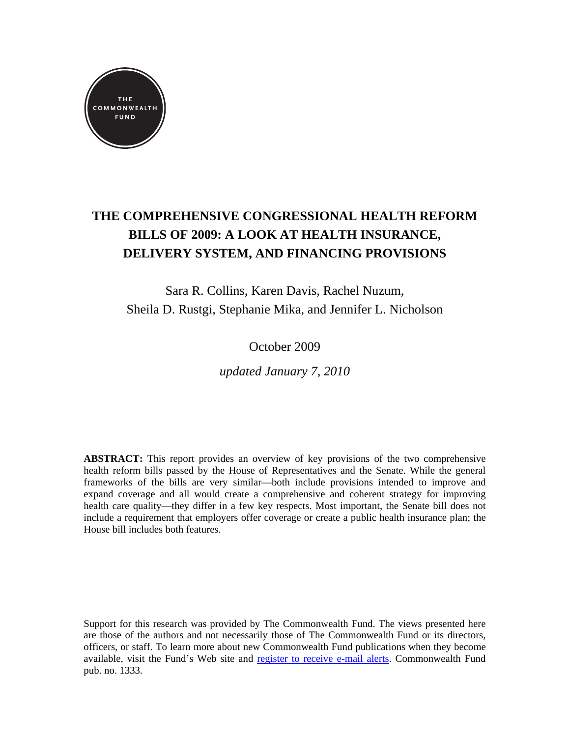

# **THE COMPREHENSIVE CONGRESSIONAL HEALTH REFORM BILLS OF 2009: A LOOK AT HEALTH INSURANCE, DELIVERY SYSTEM, AND FINANCING PROVISIONS**

Sara R. Collins, Karen Davis, Rachel Nuzum, Sheila D. Rustgi, Stephanie Mika, and Jennifer L. Nicholson

October 2009

*updated January 7, 2010* 

**ABSTRACT:** This report provides an overview of key provisions of the two comprehensive health reform bills passed by the House of Representatives and the Senate. While the general frameworks of the bills are very similar—both include provisions intended to improve and expand coverage and all would create a comprehensive and coherent strategy for improving health care quality—they differ in a few key respects. Most important, the Senate bill does not include a requirement that employers offer coverage or create a public health insurance plan; the House bill includes both features.

Support for this research was provided by The Commonwealth Fund. The views presented here are those of the authors and not necessarily those of The Commonwealth Fund or its directors, officers, or staff. To learn more about new Commonwealth Fund publications when they become available, visit the Fund's Web site and [register to receive e-mail alerts.](http://www.commonwealthfund.org/Profile/My-Profile.aspx) Commonwealth Fund pub. no. 1333.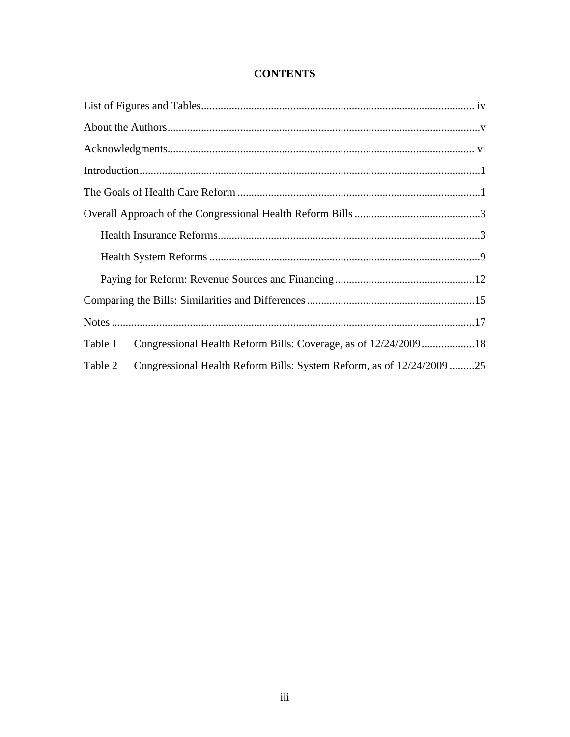# **CONTENTS**

| Table 1 |                                                                      |  |
|---------|----------------------------------------------------------------------|--|
| Table 2 | Congressional Health Reform Bills: System Reform, as of 12/24/200925 |  |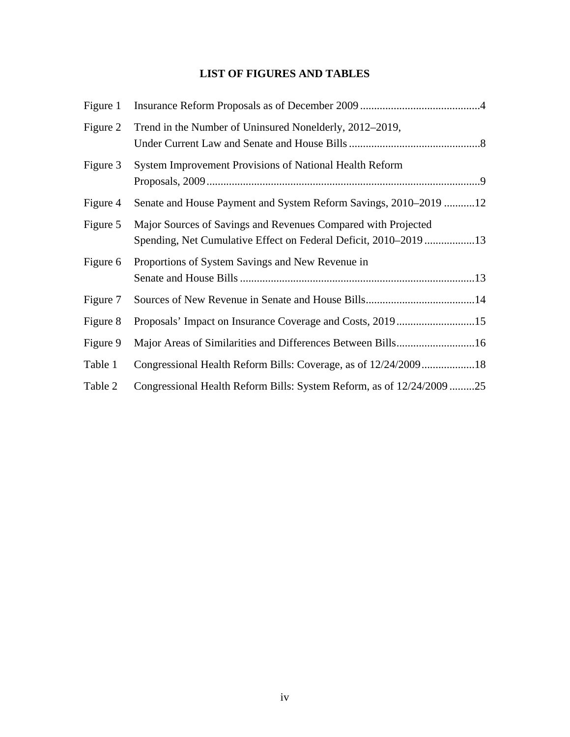# **LIST OF FIGURES AND TABLES**

| Figure 1 |                                                                                                                                   |
|----------|-----------------------------------------------------------------------------------------------------------------------------------|
| Figure 2 | Trend in the Number of Uninsured Nonelderly, 2012–2019,                                                                           |
| Figure 3 | System Improvement Provisions of National Health Reform                                                                           |
| Figure 4 | Senate and House Payment and System Reform Savings, 2010–2019 12                                                                  |
| Figure 5 | Major Sources of Savings and Revenues Compared with Projected<br>Spending, Net Cumulative Effect on Federal Deficit, 2010-2019 13 |
| Figure 6 | Proportions of System Savings and New Revenue in                                                                                  |
| Figure 7 |                                                                                                                                   |
| Figure 8 | Proposals' Impact on Insurance Coverage and Costs, 201915                                                                         |
| Figure 9 |                                                                                                                                   |
| Table 1  | Congressional Health Reform Bills: Coverage, as of 12/24/200918                                                                   |
| Table 2  | Congressional Health Reform Bills: System Reform, as of 12/24/2009 25                                                             |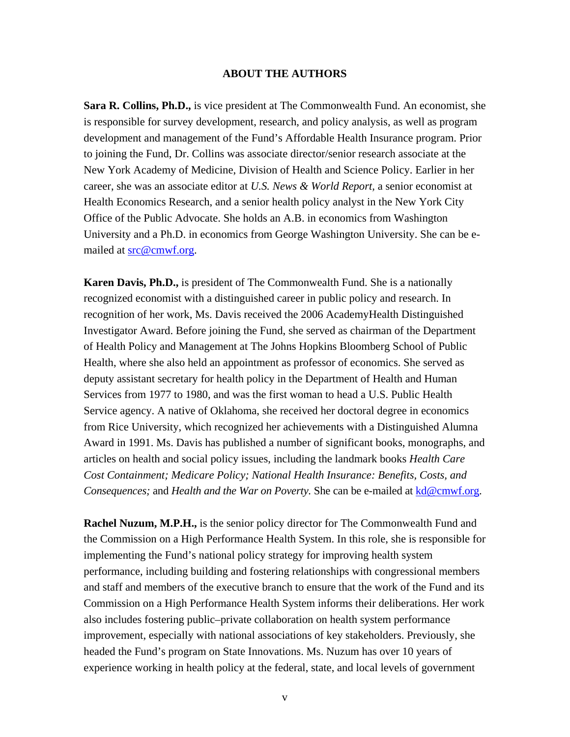#### **ABOUT THE AUTHORS**

**Sara R. Collins, Ph.D.,** is vice president at The Commonwealth Fund. An economist, she is responsible for survey development, research, and policy analysis, as well as program development and management of the Fund's Affordable Health Insurance program. Prior to joining the Fund, Dr. Collins was associate director/senior research associate at the New York Academy of Medicine, Division of Health and Science Policy. Earlier in her career, she was an associate editor at *U.S. News & World Report,* a senior economist at Health Economics Research, and a senior health policy analyst in the New York City Office of the Public Advocate. She holds an A.B. in economics from Washington University and a Ph.D. in economics from George Washington University. She can be emailed at [src@cmwf.org.](mailto:src@cmwf.org)

**Karen Davis, Ph.D.,** is president of The Commonwealth Fund. She is a nationally recognized economist with a distinguished career in public policy and research. In recognition of her work, Ms. Davis received the 2006 AcademyHealth Distinguished Investigator Award. Before joining the Fund, she served as chairman of the Department of Health Policy and Management at The Johns Hopkins Bloomberg School of Public Health, where she also held an appointment as professor of economics. She served as deputy assistant secretary for health policy in the Department of Health and Human Services from 1977 to 1980, and was the first woman to head a U.S. Public Health Service agency. A native of Oklahoma, she received her doctoral degree in economics from Rice University, which recognized her achievements with a Distinguished Alumna Award in 1991. Ms. Davis has published a number of significant books, monographs, and articles on health and social policy issues, including the landmark books *Health Care Cost Containment; Medicare Policy; National Health Insurance: Benefits, Costs, and Consequences;* and *Health and the War on Poverty.* She can be e-mailed at  $k d@cmwf.org$ .

**Rachel Nuzum, M.P.H.,** is the senior policy director for The Commonwealth Fund and the Commission on a High Performance Health System. In this role, she is responsible for implementing the Fund's national policy strategy for improving health system performance, including building and fostering relationships with congressional members and staff and members of the executive branch to ensure that the work of the Fund and its Commission on a High Performance Health System informs their deliberations. Her work also includes fostering public–private collaboration on health system performance improvement, especially with national associations of key stakeholders. Previously, she headed the Fund's program on State Innovations. Ms. Nuzum has over 10 years of experience working in health policy at the federal, state, and local levels of government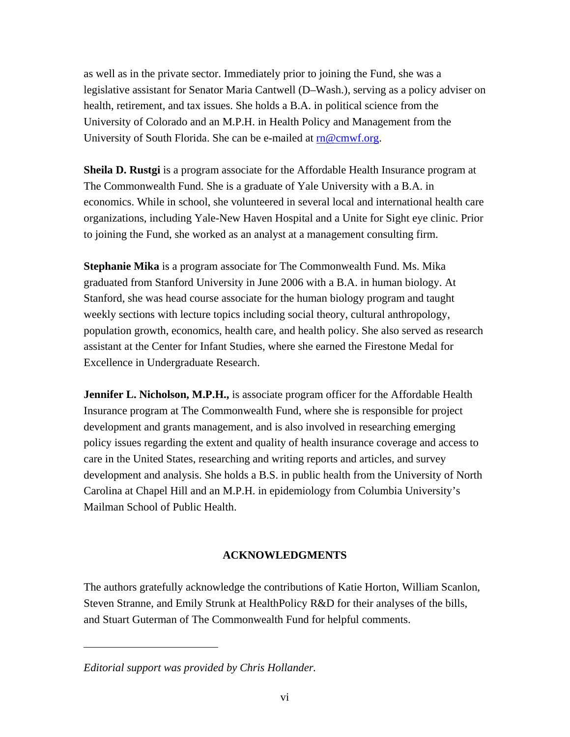as well as in the private sector. Immediately prior to joining the Fund, she was a legislative assistant for Senator Maria Cantwell (D–Wash.), serving as a policy adviser on health, retirement, and tax issues. She holds a B.A. in political science from the University of Colorado and an M.P.H. in Health Policy and Management from the University of South Florida. She can be e-mailed at  $m@cmwf.org$ .

**Sheila D. Rustgi** is a program associate for the Affordable Health Insurance program at The Commonwealth Fund. She is a graduate of Yale University with a B.A. in economics. While in school, she volunteered in several local and international health care organizations, including Yale-New Haven Hospital and a Unite for Sight eye clinic. Prior to joining the Fund, she worked as an analyst at a management consulting firm.

**Stephanie Mika** is a program associate for The Commonwealth Fund. Ms. Mika graduated from Stanford University in June 2006 with a B.A. in human biology. At Stanford, she was head course associate for the human biology program and taught weekly sections with lecture topics including social theory, cultural anthropology, population growth, economics, health care, and health policy. She also served as research assistant at the Center for Infant Studies, where she earned the Firestone Medal for Excellence in Undergraduate Research.

**Jennifer L. Nicholson, M.P.H.,** is associate program officer for the Affordable Health Insurance program at The Commonwealth Fund, where she is responsible for project development and grants management, and is also involved in researching emerging policy issues regarding the extent and quality of health insurance coverage and access to care in the United States, researching and writing reports and articles, and survey development and analysis. She holds a B.S. in public health from the University of North Carolina at Chapel Hill and an M.P.H. in epidemiology from Columbia University's Mailman School of Public Health.

### **ACKNOWLEDGMENTS**

The authors gratefully acknowledge the contributions of Katie Horton, William Scanlon, Steven Stranne, and Emily Strunk at HealthPolicy R&D for their analyses of the bills, and Stuart Guterman of The Commonwealth Fund for helpful comments.

*Editorial support was provided by Chris Hollander.*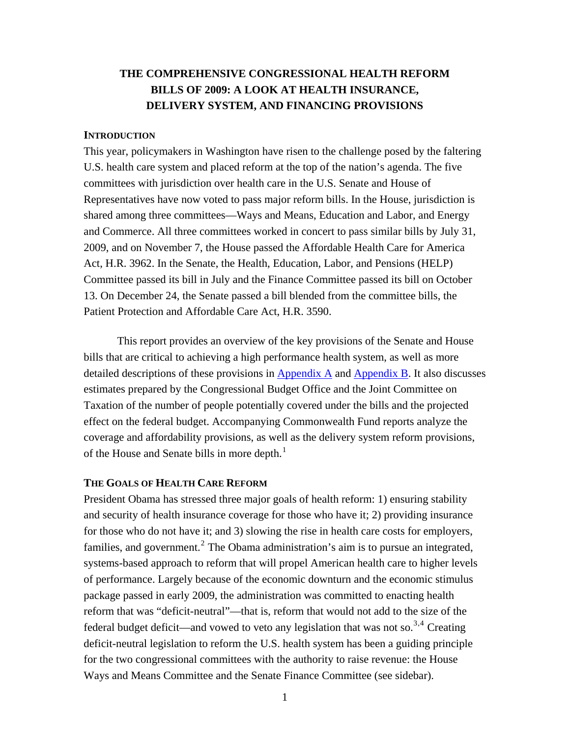# **THE COMPREHENSIVE CONGRESSIONAL HEALTH REFORM BILLS OF 2009: A LOOK AT HEALTH INSURANCE, DELIVERY SYSTEM, AND FINANCING PROVISIONS**

#### **INTRODUCTION**

This year, policymakers in Washington have risen to the challenge posed by the faltering U.S. health care system and placed reform at the top of the nation's agenda. The five committees with jurisdiction over health care in the U.S. Senate and House of Representatives have now voted to pass major reform bills. In the House, jurisdiction is shared among three committees—Ways and Means, Education and Labor, and Energy and Commerce. All three committees worked in concert to pass similar bills by July 31, 2009, and on November 7, the House passed the Affordable Health Care for America Act, H.R. 3962. In the Senate, the Health, Education, Labor, and Pensions (HELP) Committee passed its bill in July and the Finance Committee passed its bill on October 13. On December 24, the Senate passed a bill blended from the committee bills, the Patient Protection and Affordable Care Act, H.R. 3590.

This report provides an overview of the key provisions of the Senate and House bills that are critical to achieving a high performance health system, as well as more detailed descriptions of these provisions in  $\Delta$ ppendix  $\Delta$  and  $\Delta$ ppendix B. It also discusses estimates prepared by the Congressional Budget Office and the Joint Committee on Taxation of the number of people potentially covered under the bills and the projected effect on the federal budget. Accompanying Commonwealth Fund reports analyze the coverage and affordability provisions, as well as the delivery system reform provisions, of the House and Senate bills in more depth. $<sup>1</sup>$ </sup>

#### **THE GOALS OF HEALTH CARE REFORM**

President Obama has stressed three major goals of health reform: 1) ensuring stability and security of health insurance coverage for those who have it; 2) providing insurance for those who do not have it; and 3) slowing the rise in health care costs for employers, families, and government.<sup>2</sup> The Obama administration's aim is to pursue an integrated, systems-based approach to reform that will propel American health care to higher levels of performance. Largely because of the economic downturn and the economic stimulus package passed in early 2009, the administration was committed to enacting health reform that was "deficit-neutral"—that is, reform that would not add to the size of the federal budget deficit—and vowed to veto any legislation that was not so.<sup>3,4</sup> Creating deficit-neutral legislation to reform the U.S. health system has been a guiding principle for the two congressional committees with the authority to raise revenue: the House Ways and Means Committee and the Senate Finance Committee (see sidebar).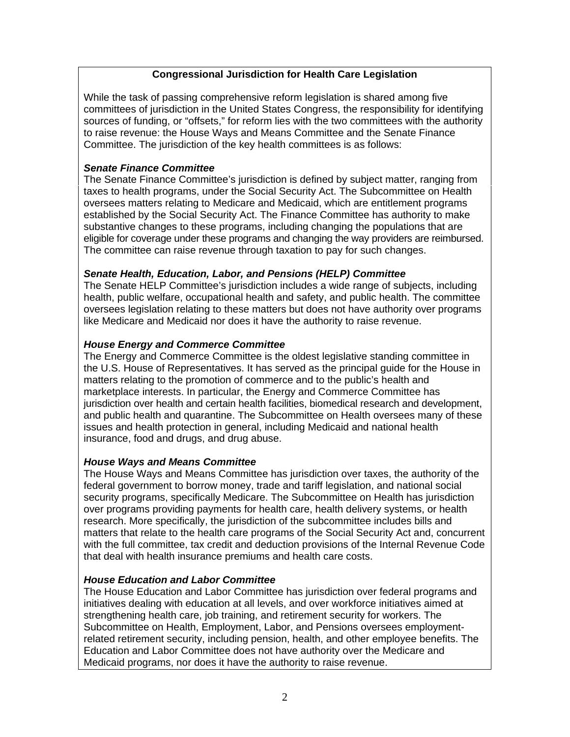# **Congressional Jurisdiction for Health Care Legislation**

While the task of passing comprehensive reform legislation is shared among five committees of jurisdiction in the United States Congress, the responsibility for identifying sources of funding, or "offsets," for reform lies with the two committees with the authority to raise revenue: the House Ways and Means Committee and the Senate Finance Committee. The jurisdiction of the key health committees is as follows:

# *Senate Finance Committee*

The Senate Finance Committee's jurisdiction is defined by subject matter, ranging from taxes to health programs, under the Social Security Act. The Subcommittee on Health oversees matters relating to Medicare and Medicaid, which are entitlement programs established by the Social Security Act. The Finance Committee has authority to make substantive changes to these programs, including changing the populations that are eligible for coverage under these programs and changing the way providers are reimbursed. The committee can raise revenue through taxation to pay for such changes.

# *Senate Health, Education, Labor, and Pensions (HELP) Committee*

The Senate HELP Committee's jurisdiction includes a wide range of subjects, including health, public welfare, occupational health and safety, and public health. The committee oversees legislation relating to these matters but does not have authority over programs like Medicare and Medicaid nor does it have the authority to raise revenue.

# *House Energy and Commerce Committee*

The Energy and Commerce Committee is the oldest legislative standing committee in the U.S. House of Representatives. It has [served as the](http://www.commonwealthfund.org/%7E/media/Files/Publications/Fund%20Report/2009/Oct/Congressional%20Bills/Collins_Appendix%20A_Senate_Finance_FINAL.pdf) pri[ncipal guide f](http://www.commonwealthfund.org/%7E/media/Files/Publications/Fund%20Report/2009/Oct/Congressional%20Bills/Collins_Appendix%20B_Senate_HELP_FINAL.pdf)or the House in matters relating to the promotion of commerce and to the public's health and marketplace interests. In particular, the Energy and Commerce Committee has jurisdiction over health and certain health facilities, biomedical research and development, and public health and quarantine. The Subcommittee on Health oversees many of these issues and health protection in general, including Medicaid and national health insurance, food and drugs, and drug abuse.

### *House Ways and Means Committee*

The House Ways and Means Committee has jurisdiction over taxes, the authority of the federal government to borrow money, trade and tariff legislation, and national social security programs, specifically Medicare. The Subcommittee on Health has jurisdiction over programs providing payments for health care, health delivery systems, or health research. More specifically, the jurisdiction of the subcommittee includes bills and matters that relate to the health care programs of the Social Security Act and, concurrent with the full committee, tax credit and deduction provisions of the Internal Revenue Code that deal with health insurance premiums and health care costs.

### *House Education and Labor Committee*

The House Education and Labor Committee has jurisdiction over federal programs and initiatives dealing with education at all levels, and over workforce initiatives aimed at strengthening health care, job training, and retirement security for workers. The Subcommittee on Health, Employment, Labor, and Pensions oversees employmentrelated retirement security, including pension, health, and other employee benefits. The Education and Labor Committee does not have authority over the Medicare and Medicaid programs, nor does it have the authority to raise revenue.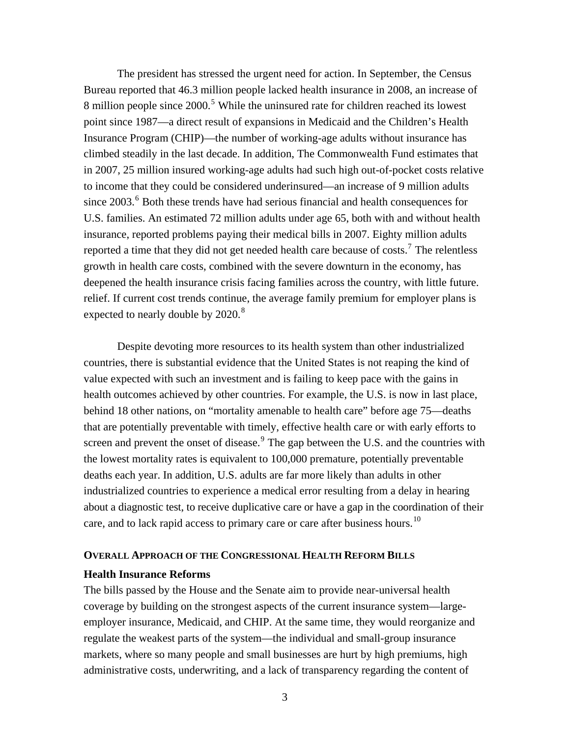The president has stressed the urgent need for action. In September, the Census Bureau reported that 46.3 million people lacked health insurance in 2008, an increase of 8 million people since 2000.<sup>5</sup> While the uninsured rate for children reached its lowest point since 1987—a direct result of expansions in Medicaid and the Children's Health Insurance Program (CHIP)—the number of working-age adults without insurance has climbed steadily in the last decade. In addition, The Commonwealth Fund estimates that in 2007, 25 million insured working-age adults had such high out-of-pocket costs relative to income that they could be considered underinsured—an increase of 9 million adults since  $2003$ .<sup>6</sup> Both these trends have had serious financial and health consequences for U.S. families. An estimated 72 million adults under age 65, both with and without health insurance, reported problems paying their medical bills in 2007. Eighty million adults reported a time that they did not get needed health care because of costs.<sup>7</sup> The relentless growth in health care costs, combined with the severe downturn in the economy, has deepened the health insurance crisis facing families across the country, with little future. relief. If current cost trends continue, the average family premium for employer plans is expected to nearly double by 2020.<sup>8</sup>

Despite devoting more resources to its health system than other industrialized countries, there is substantial evidence that the United States is not reaping the kind of value expected with such an investment and is failing to keep pace with the gains in health outcomes achieved by other countries. For example, the U.S. is now in last place, behind 18 other nations, on "mortality amenable to health care" before age 75—deaths that are potentially preventable with timely, effective health care or with early efforts to screen and prevent the onset of disease. $9$  The gap between the U.S. and the countries with the lowest mortality rates is equivalent to 100,000 premature, potentially preventable deaths each year. In addition, U.S. adults are far more likely than adults in other industrialized countries to experience a medical error resulting from a delay in hearing about a diagnostic test, to receive duplicative care or have a gap in the coordination of their care, and to lack rapid access to primary care or care after business hours.<sup>10</sup>

#### **OVERALL APPROACH OF THE CONGRESSIONAL HEALTH REFORM BILLS**

#### **Health Insurance Reforms**

The bills passed by the House and the Senate aim to provide near-universal health coverage by building on the strongest aspects of the current insurance system—largeemployer insurance, Medicaid, and CHIP. At the same time, they would reorganize and regulate the weakest parts of the system—the individual and small-group insurance markets, where so many people and small businesses are hurt by high premiums, high administrative costs, underwriting, and a lack of transparency regarding the content of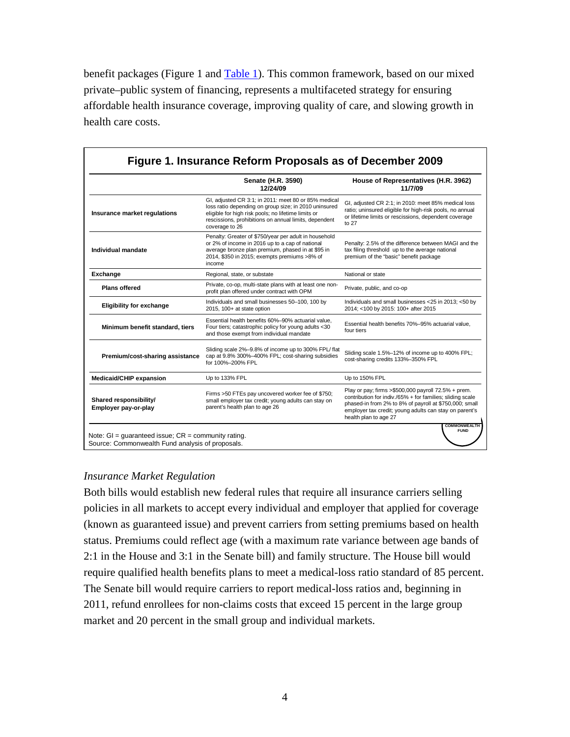benefit packages (Figure 1 and [Table 1](#page-23-0)). This common framework, based on our mixed private–public system of financing, represents a multifaceted strategy for ensuring affordable health insurance coverage, improving quality of care, and slowing growth in health care costs.

|                                                | Senate (H.R. 3590)<br>12/24/09                                                                                                                                                                                                                  | House of Representatives (H.R. 3962)<br>11/7/09                                                                                                                                                                                                               |
|------------------------------------------------|-------------------------------------------------------------------------------------------------------------------------------------------------------------------------------------------------------------------------------------------------|---------------------------------------------------------------------------------------------------------------------------------------------------------------------------------------------------------------------------------------------------------------|
| Insurance market regulations                   | GI, adjusted CR 3:1; in 2011: meet 80 or 85% medical<br>loss ratio depending on group size; in 2010 uninsured<br>eligible for high risk pools; no lifetime limits or<br>rescissions, prohibitions on annual limits, dependent<br>coverage to 26 | GI, adjusted CR 2:1; in 2010: meet 85% medical loss<br>ratio; uninsured eligible for high-risk pools, no annual<br>or lifetime limits or rescissions, dependent coverage<br>to 27                                                                             |
| Individual mandate                             | Penalty: Greater of \$750/year per adult in household<br>or 2% of income in 2016 up to a cap of national<br>average bronze plan premium, phased in at \$95 in<br>2014, \$350 in 2015; exempts premiums >8% of<br>income                         | Penalty: 2.5% of the difference between MAGI and the<br>tax filing threshold up to the average national<br>premium of the "basic" benefit package                                                                                                             |
| Exchange                                       | Regional, state, or substate                                                                                                                                                                                                                    | National or state                                                                                                                                                                                                                                             |
| <b>Plans offered</b>                           | Private, co-op, multi-state plans with at least one non-<br>profit plan offered under contract with OPM                                                                                                                                         | Private, public, and co-op                                                                                                                                                                                                                                    |
| <b>Eligibility for exchange</b>                | Individuals and small businesses 50-100, 100 by<br>2015, 100+ at state option                                                                                                                                                                   | Individuals and small businesses <25 in 2013; <50 by<br>2014; <100 by 2015: 100+ after 2015                                                                                                                                                                   |
| Minimum benefit standard, tiers                | Essential health benefits 60%-90% actuarial value,<br>Four tiers; catastrophic policy for young adults <30<br>and those exempt from individual mandate                                                                                          | Essential health benefits 70%-95% actuarial value.<br>four tiers                                                                                                                                                                                              |
| Premium/cost-sharing assistance                | Sliding scale 2%-9.8% of income up to 300% FPL/ flat<br>cap at 9.8% 300%-400% FPL; cost-sharing subsidies<br>for 100%-200% FPL                                                                                                                  | Sliding scale 1.5%-12% of income up to 400% FPL;<br>cost-sharing credits 133%-350% FPL                                                                                                                                                                        |
| Medicaid/CHIP expansion                        | Up to 133% FPL                                                                                                                                                                                                                                  | Up to 150% FPL                                                                                                                                                                                                                                                |
| Shared responsibility/<br>Employer pay-or-play | Firms >50 FTEs pay uncovered worker fee of \$750;<br>small employer tax credit; young adults can stay on<br>parent's health plan to age 26                                                                                                      | Play or pay; firms >\$500,000 payroll 72.5% + prem.<br>contribution for indiv./65% + for families; sliding scale<br>phased-in from 2% to 8% of payroll at \$750,000; small<br>employer tax credit; young adults can stay on parent's<br>health plan to age 27 |

# *Insurance Market Regulation*

Both bills would establish new federal rules that require all insurance carriers selling policies in all markets to accept every individual and employer that applied for coverage (known as guaranteed issue) and prevent carriers from setting premiums based on health status. Premiums could reflect age (with a maximum rate variance between age bands of 2:1 in the House and 3:1 in the Senate bill) and family structure. The House bill would require qualified health benefits plans to meet a medical-loss ratio standard of 85 percent. The Senate bill would require carriers to report medical-loss ratios and, beginning in 2011, refund enrollees for non-claims costs that exceed 15 percent in the large group market and 20 percent in the small group and individual markets.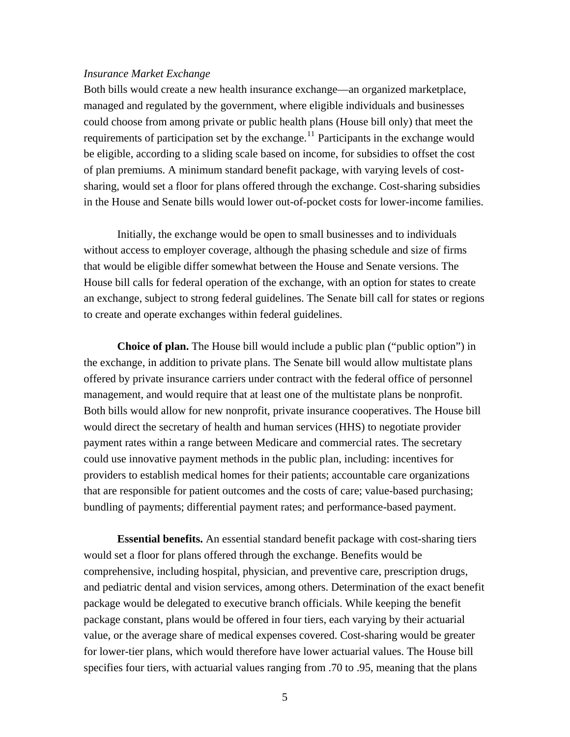#### *Insurance Market Exchange*

Both bills would create a new health insurance exchange—an organized marketplace, managed and regulated by the government, where eligible individuals and businesses could choose from among private or public health plans (House bill only) that meet the requirements of participation set by the exchange.<sup>11</sup> Participants in the exchange would be eligible, according to a sliding scale based on income, for subsidies to offset the cost of plan premiums. A minimum standard benefit package, with varying levels of costsharing, would set a floor for plans offered through the exchange. Cost-sharing subsidies in the House and Senate bills would lower out-of-pocket costs for lower-income families.

Initially, the exchange would be open to small businesses and to individuals without access to employer coverage, although the phasing schedule and size of firms that would be eligible differ somewhat between the House and Senate versions. The House bill calls for federal operation of the exchange, with an option for states to create an exchange, subject to strong federal guidelines. The Senate bill call for states or regions to create and operate exchanges within federal guidelines.

**Choice of plan.** The House bill would include a public plan ("public option") in the exchange, in addition to private plans. The Senate bill would allow multistate plans offered by private insurance carriers under contract with the federal office of personnel management, and would require that at least one of the multistate plans be nonprofit. Both bills would allow for new nonprofit, private insurance cooperatives. The House bill would direct the secretary of health and human services (HHS) to negotiate provider payment rates within a range between Medicare and commercial rates. The secretary could use innovative payment methods in the public plan, including: incentives for providers to establish medical homes for their patients; accountable care organizations that are responsible for patient outcomes and the costs of care; value-based purchasing; bundling of payments; differential payment rates; and performance-based payment.

**Essential benefits.** An essential standard benefit package with cost-sharing tiers would set a floor for plans offered through the exchange. Benefits would be comprehensive, including hospital, physician, and preventive care, prescription drugs, and pediatric dental and vision services, among others. Determination of the exact benefit package would be delegated to executive branch officials. While keeping the benefit package constant, plans would be offered in four tiers, each varying by their actuarial value, or the average share of medical expenses covered. Cost-sharing would be greater for lower-tier plans, which would therefore have lower actuarial values. The House bill specifies four tiers, with actuarial values ranging from .70 to .95, meaning that the plans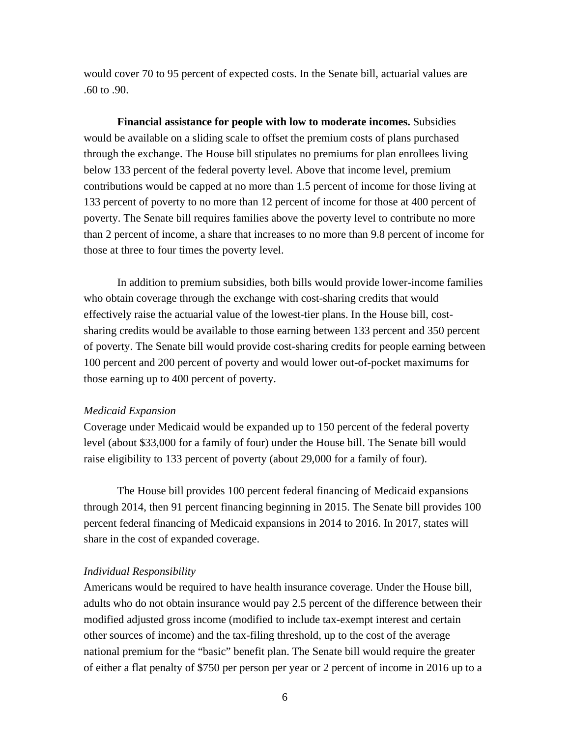would cover 70 to 95 percent of expected costs. In the Senate bill, actuarial values are .60 to .90.

**Financial assistance for people with low to moderate incomes.** Subsidies would be available on a sliding scale to offset the premium costs of plans purchased through the exchange. The House bill stipulates no premiums for plan enrollees living below 133 percent of the federal poverty level. Above that income level, premium contributions would be capped at no more than 1.5 percent of income for those living at 133 percent of poverty to no more than 12 percent of income for those at 400 percent of poverty. The Senate bill requires families above the poverty level to contribute no more than 2 percent of income, a share that increases to no more than 9.8 percent of income for those at three to four times the poverty level.

In addition to premium subsidies, both bills would provide lower-income families who obtain coverage through the exchange with cost-sharing credits that would effectively raise the actuarial value of the lowest-tier plans. In the House bill, costsharing credits would be available to those earning between 133 percent and 350 percent of poverty. The Senate bill would provide cost-sharing credits for people earning between 100 percent and 200 percent of poverty and would lower out-of-pocket maximums for those earning up to 400 percent of poverty.

#### *Medicaid Expansion*

Coverage under Medicaid would be expanded up to 150 percent of the federal poverty level (about \$33,000 for a family of four) under the House bill. The Senate bill would raise eligibility to 133 percent of poverty (about 29,000 for a family of four).

The House bill provides 100 percent federal financing of Medicaid expansions through 2014, then 91 percent financing beginning in 2015. The Senate bill provides 100 percent federal financing of Medicaid expansions in 2014 to 2016. In 2017, states will share in the cost of expanded coverage.

#### *Individual Responsibility*

Americans would be required to have health insurance coverage. Under the House bill, adults who do not obtain insurance would pay 2.5 percent of the difference between their modified adjusted gross income (modified to include tax-exempt interest and certain other sources of income) and the tax-filing threshold, up to the cost of the average national premium for the "basic" benefit plan. The Senate bill would require the greater of either a flat penalty of \$750 per person per year or 2 percent of income in 2016 up to a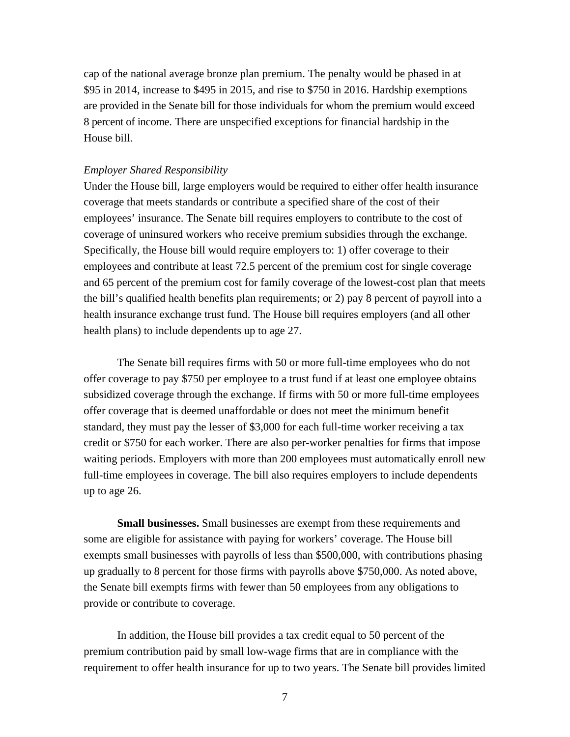cap of the national average bronze plan premium. The penalty would be phased in at \$95 in 2014, increase to \$495 in 2015, and rise to \$750 in 2016. Hardship exemptions are provided in the Senate bill for those individuals for whom the premium would exceed 8 percent of income. There are unspecified exceptions for financial hardship in the House bill.

#### *Employer Shared Responsibility*

Under the House bill, large employers would be required to either offer health insurance coverage that meets standards or contribute a specified share of the cost of their employees' insurance. The Senate bill requires employers to contribute to the cost of coverage of uninsured workers who receive premium subsidies through the exchange. Specifically, the House bill would require employers to: 1) offer coverage to their employees and contribute at least 72.5 percent of the premium cost for single coverage and 65 percent of the premium cost for family coverage of the lowest-cost plan that meets the bill's qualified health benefits plan requirements; or 2) pay 8 percent of payroll into a health insurance exchange trust fund. The House bill requires employers (and all other health plans) to include dependents up to age 27.

The Senate bill requires firms with 50 or more full-time employees who do not offer coverage to pay \$750 per employee to a trust fund if at least one employee obtains subsidized coverage through the exchange. If firms with 50 or more full-time employees offer coverage that is deemed unaffordable or does not meet the minimum benefit standard, they must pay the lesser of \$3,000 for each full-time worker receiving a tax credit or \$750 for each worker. There are also per-worker penalties for firms that impose waiting periods. Employers with more than 200 employees must automatically enroll new full-time employees in coverage. The bill also requires employers to include dependents up to age 26.

**Small businesses.** Small businesses are exempt from these requirements and some are eligible for assistance with paying for workers' coverage. The House bill exempts small businesses with payrolls of less than \$500,000, with contributions phasing up gradually to 8 percent for those firms with payrolls above \$750,000. As noted above, the Senate bill exempts firms with fewer than 50 employees from any obligations to provide or contribute to coverage.

In addition, the House bill provides a tax credit equal to 50 percent of the premium contribution paid by small low-wage firms that are in compliance with the requirement to offer health insurance for up to two years. The Senate bill provides limited

7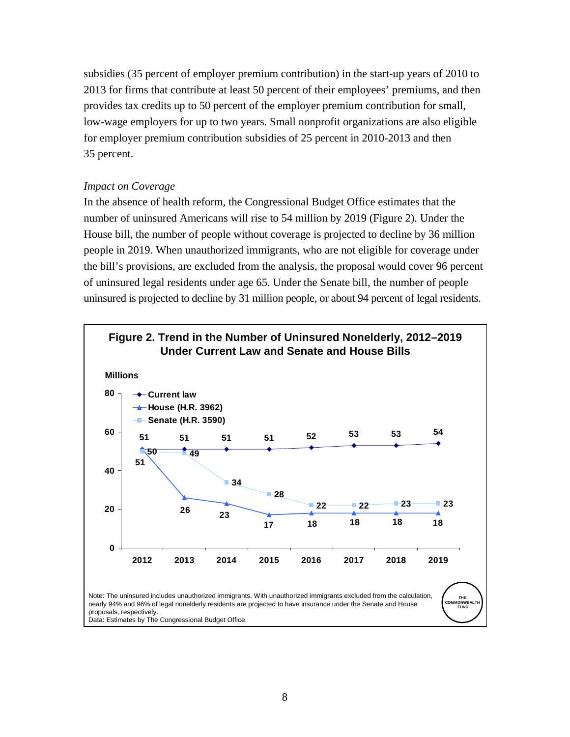subsidies (35 percent of employer premium contribution) in the start-up years of 2010 to 2013 for firms that contribute at least 50 percent of their employees' premiums, and then provides tax credits up to 50 percent of the employer premium contribution for small, low-wage employers for up to two years. Small nonprofit organizations are also eligible for employer premium contribution subsidies of 25 percent in 2010-2013 and then 35 percent.

# *Impact on Coverage*

In the absence of health reform, the Congressional Budget Office estimates that the number of uninsured Americans will rise to 54 million by 2019 (Figure 2). Under the House bill, the number of people without coverage is projected to decline by 36 million people in 2019. When unauthorized immigrants, who are not eligible for coverage under the bill's provisions, are excluded from the analysis, the proposal would cover 96 percent of uninsured legal residents under age 65. Under the Senate bill, the number of people uninsured is projected to decline by 31 million people, or about 94 percent of legal residents.

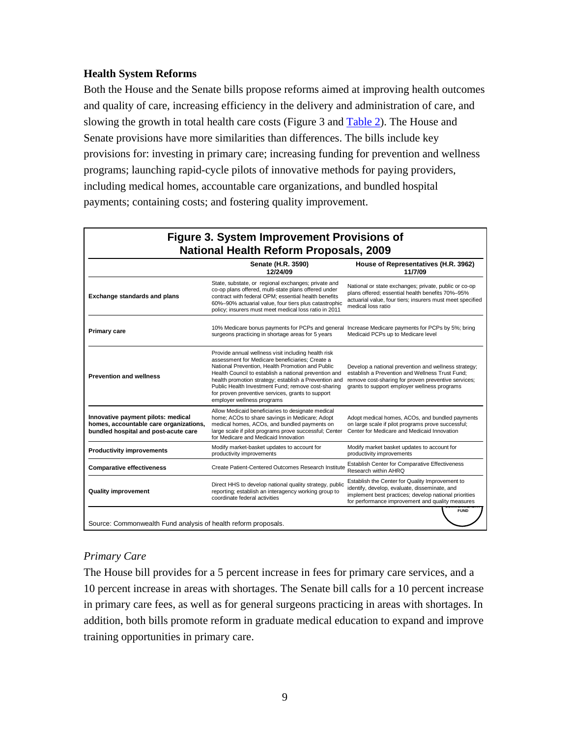# **Health System Reforms**

Both the House and the Senate bills propose reforms aimed at improving health outcomes and quality of care, increasing efficiency in the delivery and administration of care, and slowing the growth in total health care costs (Figure 3 and [Table 2\)](#page-30-0). The House and Senate provisions have more similarities than differences. The bills include key provisions for: investing in primary care; increasing funding for prevention and wellness programs; launching rapid-cycle pilots of innovative methods for paying providers, including medical homes, accountable care organizations, and bundled hospital payments; containing costs; and fostering quality improvement.

|                                                                                                                      | Senate (H.R. 3590)<br>12/24/09                                                                                                                                                                                                                                                                                                                                                                                        | House of Representatives (H.R. 3962)<br>11/7/09                                                                                                                                                                |
|----------------------------------------------------------------------------------------------------------------------|-----------------------------------------------------------------------------------------------------------------------------------------------------------------------------------------------------------------------------------------------------------------------------------------------------------------------------------------------------------------------------------------------------------------------|----------------------------------------------------------------------------------------------------------------------------------------------------------------------------------------------------------------|
| <b>Exchange standards and plans</b>                                                                                  | State, substate, or regional exchanges; private and<br>co-op plans offered, multi-state plans offered under<br>contract with federal OPM; essential health benefits<br>60%-90% actuarial value, four tiers plus catastrophic<br>policy; insurers must meet medical loss ratio in 2011                                                                                                                                 | National or state exchanges; private, public or co-op<br>plans offered; essential health benefits 70%-95%<br>actuarial value, four tiers; insurers must meet specified<br>medical loss ratio                   |
| <b>Primary care</b>                                                                                                  | 10% Medicare bonus payments for PCPs and general Increase Medicare payments for PCPs by 5%; bring<br>surgeons practicing in shortage areas for 5 years                                                                                                                                                                                                                                                                | Medicaid PCPs up to Medicare level                                                                                                                                                                             |
| <b>Prevention and wellness</b>                                                                                       | Provide annual wellness visit including health risk<br>assessment for Medicare beneficiaries; Create a<br>National Prevention, Health Promotion and Public<br>Health Council to establish a national prevention and<br>health promotion strategy; establish a Prevention and<br>Public Health Investment Fund; remove cost-sharing<br>for proven preventive services, grants to support<br>employer wellness programs | Develop a national prevention and wellness strategy;<br>establish a Prevention and Wellness Trust Fund:<br>remove cost-sharing for proven preventive services;<br>grants to support employer wellness programs |
| Innovative payment pilots: medical<br>homes, accountable care organizations,<br>bundled hospital and post-acute care | Allow Medicaid beneficiaries to designate medical<br>home; ACOs to share savings in Medicare; Adopt<br>medical homes, ACOs, and bundled payments on<br>large scale if pilot programs prove successful; Center<br>for Medicare and Medicaid Innovation                                                                                                                                                                 | Adopt medical homes, ACOs, and bundled payments<br>on large scale if pilot programs prove successful;<br>Center for Medicare and Medicaid Innovation                                                           |
| <b>Productivity improvements</b>                                                                                     | Modify market-basket updates to account for<br>productivity improvements                                                                                                                                                                                                                                                                                                                                              | Modify market basket updates to account for<br>productivity improvements                                                                                                                                       |
| <b>Comparative effectiveness</b>                                                                                     | Create Patient-Centered Outcomes Research Institute                                                                                                                                                                                                                                                                                                                                                                   | Establish Center for Comparative Effectiveness<br>Research within AHRQ                                                                                                                                         |
| <b>Quality improvement</b>                                                                                           | Direct HHS to develop national quality strategy, public<br>reporting; establish an interagency working group to<br>coordinate federal activities                                                                                                                                                                                                                                                                      | Establish the Center for Quality Improvement to<br>identify, develop, evaluate, disseminate, and<br>implement best practices; develop national priorities<br>for performance improvement and quality measures  |

# *Primary Care*

The House bill provides for a 5 percent increase in fees for primary care services, and a 10 percent increase in areas with shortages. The Senate bill calls for a 10 percent increase in primary care fees, as well as for general surgeons practicing in areas with shortages. In addition, both bills promote reform in graduate medical education to expand and improve training opportunities in primary care.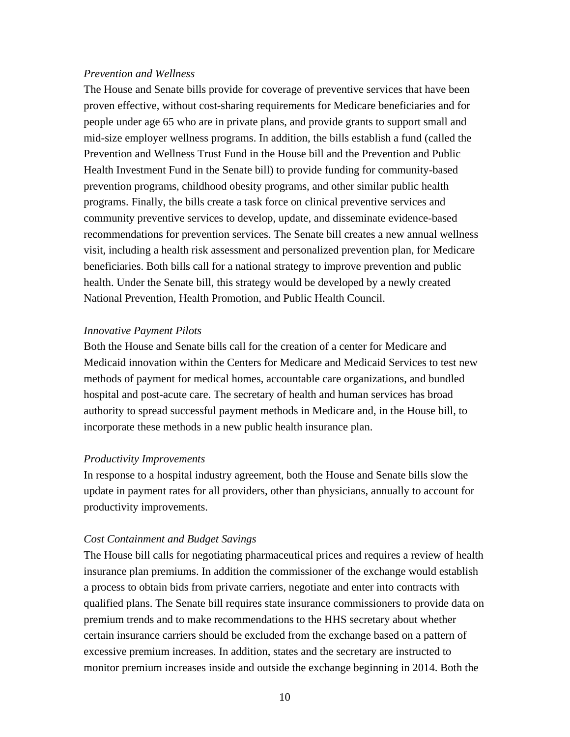#### *Prevention and Wellness*

The House and Senate bills provide for coverage of preventive services that have been proven effective, without cost-sharing requirements for Medicare beneficiaries and for people under age 65 who are in private plans, and provide grants to support small and mid-size employer wellness programs. In addition, the bills establish a fund (called the Prevention and Wellness Trust Fund in the House bill and the Prevention and Public Health Investment Fund in the Senate bill) to provide funding for community-based prevention programs, childhood obesity programs, and other similar public health programs. Finally, the bills create a task force on clinical preventive services and community preventive services to develop, update, and disseminate evidence-based recommendations for prevention services. The Senate bill creates a new annual wellness visit, including a health risk assessment and personalized prevention plan, for Medicare beneficiaries. Both bills call for a national strategy to improve prevention and public health. Under the Senate bill, this strategy would be developed by a newly created National Prevention, Health Promotion, and Public Health Council.

#### *Innovative Payment Pilots*

Both the House and Senate bills call for the creation of a center for Medicare and Medicaid innovation within the Centers for Medicare and Medicaid Services to test new methods of payment for medical homes, accountable care organizations, and bundled hospital and post-acute care. The secretary of health and human services has broad authority to spread successful payment methods in Medicare and, in the House bill, to incorporate these methods in a new public health insurance plan.

#### *Productivity Improvements*

In response to a hospital industry agreement, both the House and Senate bills slow the update in payment rates for all providers, other than physicians, annually to account for productivity improvements.

#### *Cost Containment and Budget Savings*

The House bill calls for negotiating pharmaceutical prices and requires a review of health insurance plan premiums. In addition the commissioner of the exchange would establish a process to obtain bids from private carriers, negotiate and enter into contracts with qualified plans. The Senate bill requires state insurance commissioners to provide data on premium trends and to make recommendations to the HHS secretary about whether certain insurance carriers should be excluded from the exchange based on a pattern of excessive premium increases. In addition, states and the secretary are instructed to monitor premium increases inside and outside the exchange beginning in 2014. Both the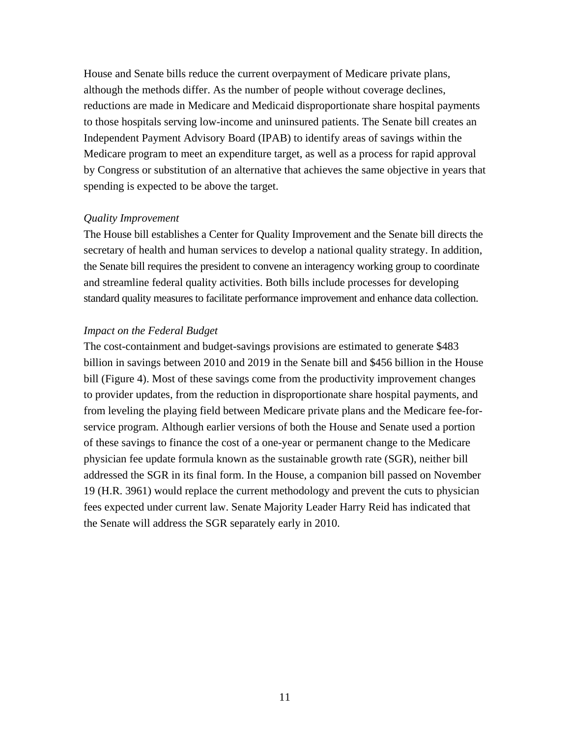House and Senate bills reduce the current overpayment of Medicare private plans, although the methods differ. As the number of people without coverage declines, reductions are made in Medicare and Medicaid disproportionate share hospital payments to those hospitals serving low-income and uninsured patients. The Senate bill creates an Independent Payment Advisory Board (IPAB) to identify areas of savings within the Medicare program to meet an expenditure target, as well as a process for rapid approval by Congress or substitution of an alternative that achieves the same objective in years that spending is expected to be above the target.

#### *Quality Improvement*

The House bill establishes a Center for Quality Improvement and the Senate bill directs the secretary of health and human services to develop a national quality strategy. In addition, the Senate bill requires the president to convene an interagency working group to coordinate and streamline federal quality activities. Both bills include processes for developing standard quality measures to facilitate performance improvement and enhance data collection.

#### *Impact on the Federal Budget*

The cost-containment and budget-savings provisions are estimated to generate \$483 billion in savings between 2010 and 2019 in the Senate bill and \$456 billion in the House bill (Figure 4). Most of these savings come from the productivity improvement changes to provider updates, from the reduction in disproportionate share hospital payments, and from leveling the playing field between Medicare private plans and the Medicare fee-forservice program. Although earlier versions of both the House and Senate used a portion of these savings to finance the cost of a one-year or permanent change to the Medicare physician fee update formula known as the sustainable growth rate (SGR), neither bill addressed the SGR in its final form. In the House, a companion bill passed on November 19 (H.R. 3961) would replace the current methodology and prevent the cuts to physician fees expected under current law. Senate Majority Leader Harry Reid has indicated that the Senate will address the SGR separately early in 2010.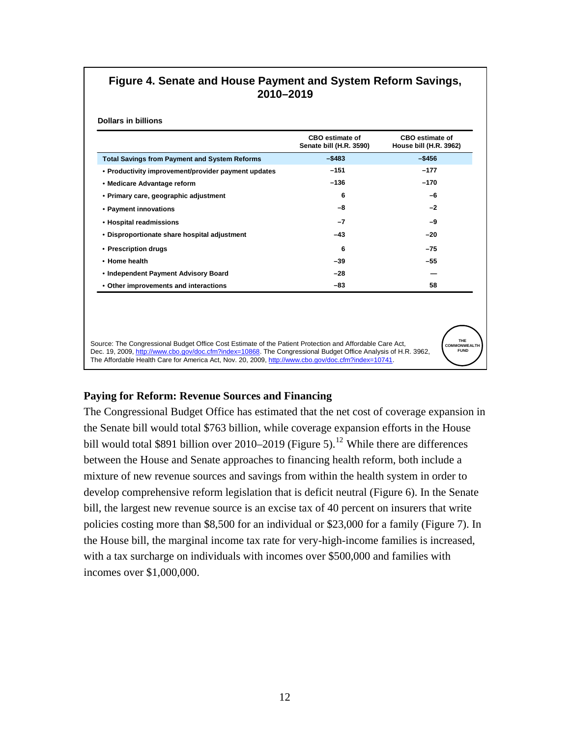# **Figure 4. Senate and House Payment and System Reform Savings, 2010–2019**

**Dollars in billions**

|                                                      | <b>CBO</b> estimate of<br>Senate bill (H.R. 3590) | <b>CBO</b> estimate of<br>House bill (H.R. 3962) |
|------------------------------------------------------|---------------------------------------------------|--------------------------------------------------|
| <b>Total Savings from Payment and System Reforms</b> | $-$ \$483                                         | $-$ \$456                                        |
| • Productivity improvement/provider payment updates  | $-151$                                            | $-177$                                           |
| • Medicare Advantage reform                          | $-136$                                            | $-170$                                           |
| • Primary care, geographic adjustment                | 6                                                 | -6                                               |
| • Payment innovations                                | -8                                                | $-2$                                             |
| • Hospital readmissions                              | $-7$                                              | -9                                               |
| • Disproportionate share hospital adjustment         | $-43$                                             | $-20$                                            |
| • Prescription drugs                                 | 6                                                 | $-75$                                            |
| • Home health                                        | -39                                               | $-55$                                            |
| • Independent Payment Advisory Board                 | $-28$                                             |                                                  |
| • Other improvements and interactions                | -83                                               | 58                                               |

Source: The Congressional Budget Office Cost Estimate of the Patient Protection and Affordable Care Act, Dec. 19, 2009, http://www.cbo.gov/doc.cfm?index=10868. The Congressional Budget Office Analysis of H.R. 3962, The Affordable Health Care for America Act, Nov. 20, 2009, http://www.cbo.gov/doc.cfm?index=10741.



# **Paying for Reform: Revenue Sources and Financing**

The Congressional Budget Office has estimated that the net cost of coverage expansion in the Senate bill would total \$763 billion, while coverage expansion efforts in the House bill would total \$891 billion over 2010–2019 (Figure 5).<sup>12</sup> While there are differences between the House and Senate approaches to financing health reform, both include a mixture of new revenue sources and savings from within the health system in order to develop comprehensive reform legislation that is deficit neutral (Figure 6). In the Senate bill, the largest new revenue source is an excise tax of 40 percent on insurers that write policies costing more than \$8,500 for an individual or \$23,000 for a family (Figure 7). In the House bill, the marginal income tax rate for very-high-income families is increased, with a tax surcharge on individuals with incomes over \$500,000 and families with incomes over \$1,000,000.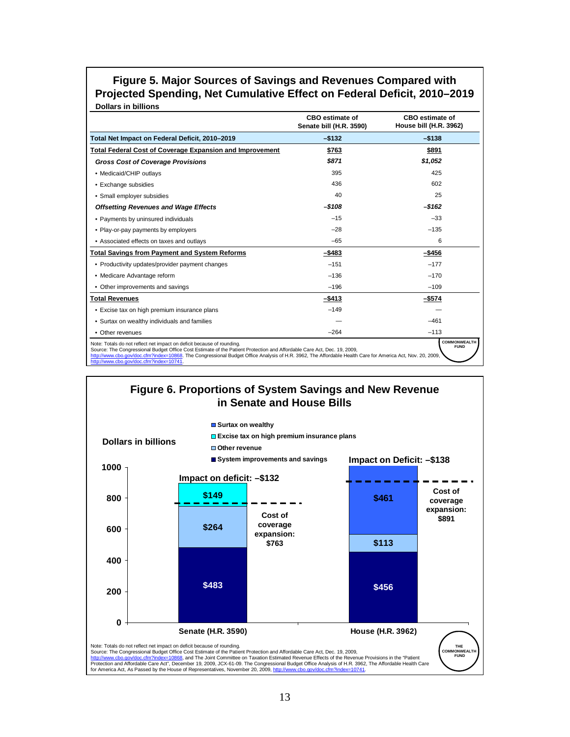### **Figure 5. Major Sources of Savings and Revenues Compared with Projected Spending, Net Cumulative Effect on Federal Deficit, 2010–2019 Dollars in billions**

|                                                                                                                                                                                                                                                                                                                                                                                                           | <b>CBO</b> estimate of<br>Senate bill (H.R. 3590) | <b>CBO</b> estimate of<br>House bill (H.R. 3962) |
|-----------------------------------------------------------------------------------------------------------------------------------------------------------------------------------------------------------------------------------------------------------------------------------------------------------------------------------------------------------------------------------------------------------|---------------------------------------------------|--------------------------------------------------|
| Total Net Impact on Federal Deficit, 2010-2019                                                                                                                                                                                                                                                                                                                                                            | $-$132$                                           | $-$ \$138                                        |
| <b>Total Federal Cost of Coverage Expansion and Improvement</b>                                                                                                                                                                                                                                                                                                                                           | \$763                                             | \$891                                            |
| <b>Gross Cost of Coverage Provisions</b>                                                                                                                                                                                                                                                                                                                                                                  | \$871                                             | \$1.052                                          |
| • Medicaid/CHIP outlavs                                                                                                                                                                                                                                                                                                                                                                                   | 395                                               | 425                                              |
| • Exchange subsidies                                                                                                                                                                                                                                                                                                                                                                                      | 436                                               | 602                                              |
| • Small employer subsidies                                                                                                                                                                                                                                                                                                                                                                                | 40                                                | 25                                               |
| <b>Offsetting Revenues and Wage Effects</b>                                                                                                                                                                                                                                                                                                                                                               | $-$108$                                           | $-$ \$162                                        |
| • Payments by uninsured individuals                                                                                                                                                                                                                                                                                                                                                                       | $-15$                                             | $-33$                                            |
| • Play-or-pay payments by employers                                                                                                                                                                                                                                                                                                                                                                       | $-28$                                             | $-135$                                           |
| • Associated effects on taxes and outlays                                                                                                                                                                                                                                                                                                                                                                 | $-65$                                             | 6                                                |
| <b>Total Savings from Payment and System Reforms</b>                                                                                                                                                                                                                                                                                                                                                      | -\$483                                            | -\$456                                           |
| • Productivity updates/provider payment changes                                                                                                                                                                                                                                                                                                                                                           | $-151$                                            | $-177$                                           |
| • Medicare Advantage reform                                                                                                                                                                                                                                                                                                                                                                               | $-136$                                            | $-170$                                           |
| • Other improvements and savings                                                                                                                                                                                                                                                                                                                                                                          | $-196$                                            | $-109$                                           |
| <b>Total Revenues</b>                                                                                                                                                                                                                                                                                                                                                                                     | -\$413                                            | $-$ \$574                                        |
| • Excise tax on high premium insurance plans                                                                                                                                                                                                                                                                                                                                                              | $-149$                                            |                                                  |
| • Surtax on wealthy individuals and families                                                                                                                                                                                                                                                                                                                                                              |                                                   | $-461$                                           |
| • Other revenues                                                                                                                                                                                                                                                                                                                                                                                          | $-264$                                            | $-113$                                           |
| Note: Totals do not reflect net impact on deficit because of rounding.<br>Source: The Congressional Budget Office Cost Estimate of the Patient Protection and Affordable Care Act, Dec. 19, 2009,<br>http://www.cbo.gov/doc.cfm?index=10868. The Congressional Budget Office Analysis of H.R. 3962, The Affordable Health Care for America Act, Nov. 20, 2009,<br>http://www.cbo.gov/doc.cfm?index=10741. |                                                   | <b>COMMONWEALTH</b><br><b>FUND</b>               |

# **Figure 6. Proportions of System Savings and New Revenue in Senate and House Bills**

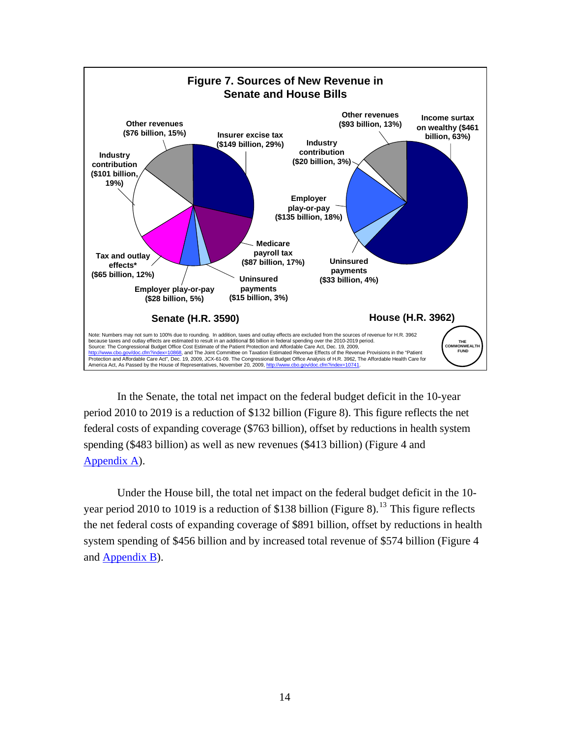

In the Senate, the total net impact on the federal budget deficit in the 10-year period 2010 to 2019 is a reduction of \$132 billion (Figure 8). This figure reflects the net federal costs of expanding coverage (\$763 billion), offset by reductions in health system spending (\$483 billion) as well as new revenues (\$413 billion) (Figure 4 and [Appendix A\)](http://www.commonwealthfund.org/~/media/Files/Publications/Fund%20Report/2009/Oct/Congressional%20Bills/Jan%20Update/Collins_Appendix A_Senate_REVISED_172010.pdf).

Under the House bill, the total net impact on the federal budget deficit in the 10 year period 2010 to 1019 is a reduction of \$138 billion (Figure 8).<sup>13</sup> This figure reflects the net federal costs of expanding coverage of \$891 billion, offset by reductions in health system spending of \$456 billion and by increased total revenue of \$574 billion (Figure 4 and [Appendix B\)](http://www.commonwealthfund.org/~/media/Files/Publications/Fund%20Report/2009/Oct/Congressional%20Bills/Jan%20Update/Collins_Appendix B_House_REVISED_172010.pdf).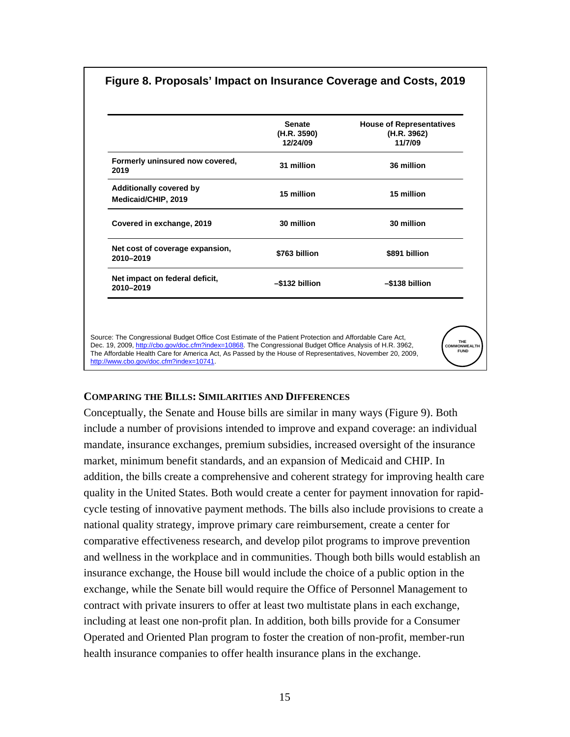| Figure 8. Proposals' Impact on Insurance Coverage and Costs, 2019 |  |  |  |
|-------------------------------------------------------------------|--|--|--|
|                                                                   |  |  |  |

|                                                                                                           | <b>Senate</b>  | <b>House of Representatives</b> |
|-----------------------------------------------------------------------------------------------------------|----------------|---------------------------------|
|                                                                                                           | (H.R. 3590)    | (H.R. 3962)                     |
|                                                                                                           | 12/24/09       | 11/7/09                         |
| Formerly uninsured now covered,<br>2019                                                                   | 31 million     | 36 million                      |
| <b>Additionally covered by</b><br>Medicaid/CHIP, 2019                                                     | 15 million     | 15 million                      |
| Covered in exchange, 2019                                                                                 | 30 million     | 30 million                      |
| Net cost of coverage expansion,<br>2010-2019                                                              | \$763 billion  | \$891 billion                   |
| Net impact on federal deficit,<br>2010-2019                                                               | -\$132 billion | -\$138 billion                  |
|                                                                                                           |                |                                 |
| Source: The Congressional Budget Office Cost Estimate of the Patient Protection and Affordable Care Act,  |                |                                 |
| Dec. 19, 2009, http://cbo.gov/doc.cfm?index=10868. The Congressional Budget Office Analysis of H.R. 3962, |                | <b>COMMONWEALTH</b>             |

### **COMPARING THE BILLS: SIMILARITIES AND DIFFERENCES**

Conceptually, the Senate and House bills are similar in many ways (Figure 9). Both include a number of provisions intended to improve and expand coverage: an individual mandate, insurance exchanges, premium subsidies, increased oversight of the insurance market, minimum benefit standards, and an expansion of Medicaid and CHIP. In addition, the bills create a comprehensive and coherent strategy for improving health care quality in the United States. Both would create a center for payment innovation for rapidcycle testing of innovative payment methods. The bills also include provisions to create a national quality strategy, improve primary care reimbursement, create a center for comparative effectiveness research, and develop pilot programs to improve prevention and wellness in the workplace and in communities. Though both bills would establish an insurance exchange, the House bill would include the choice of a public option in the exchange, while the Senate bill would require the Office of Personnel Management to contract with private insurers to offer at least two multistate plans in each exchange, including at least one non-profit plan. In addition, both bills provide for a Consumer Operated and Oriented Plan program to foster the creation of non-profit, member-run health insurance companies to offer health insurance plans in the exchange.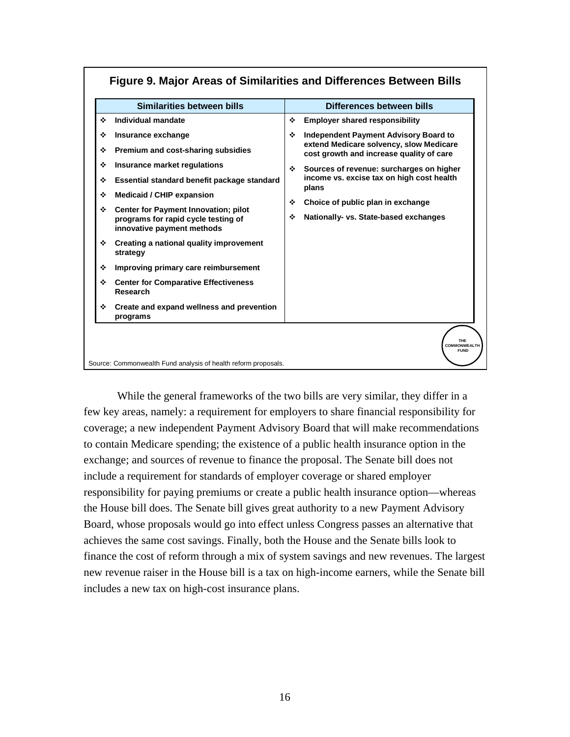| Similarities between bills                                                                                                                                                                                                                                                                                                              | Differences between bills                                                                                                                                                                                                                                                            |
|-----------------------------------------------------------------------------------------------------------------------------------------------------------------------------------------------------------------------------------------------------------------------------------------------------------------------------------------|--------------------------------------------------------------------------------------------------------------------------------------------------------------------------------------------------------------------------------------------------------------------------------------|
| ÷<br>Individual mandate<br>Insurance exchange<br>❖<br>Premium and cost-sharing subsidies<br>❖<br>Insurance market regulations<br>❖<br>Essential standard benefit package standard<br>❖                                                                                                                                                  | ❖<br><b>Employer shared responsibility</b><br><b>Independent Payment Advisory Board to</b><br>❖<br>extend Medicare solvency, slow Medicare<br>cost growth and increase quality of care<br>Sources of revenue: surcharges on higher<br>❖<br>income vs. excise tax on high cost health |
| <b>Medicaid / CHIP expansion</b><br>❖<br><b>Center for Payment Innovation; pilot</b><br>❖<br>programs for rapid cycle testing of<br>innovative payment methods<br>Creating a national quality improvement<br>❖<br>strategy<br>❖<br>Improving primary care reimbursement<br><b>Center for Comparative Effectiveness</b><br>❖<br>Research | plans<br>Choice of public plan in exchange<br>❖<br>❖<br>Nationally- vs. State-based exchanges                                                                                                                                                                                        |
| Create and expand wellness and prevention<br>❖<br>programs<br>Source: Commonwealth Fund analysis of health reform proposals.                                                                                                                                                                                                            | THE<br><b>COMMONWEALTH</b><br><b>FUND</b>                                                                                                                                                                                                                                            |

# **Figure 9. Major Areas of Similarities and Differences Between Bills**

While the general frameworks of the two bills are very similar, they differ in a few key areas, namely: a requirement for employers to share financial responsibility for coverage; a new independent Payment Advisory Board that will make recommendations to contain Medicare spending; the existence of a public health insurance option in the exchange; and sources of revenue to finance the proposal. The Senate bill does not include a requirement for standards of employer coverage or shared employer responsibility for paying premiums or create a public health insurance option—whereas the House bill does. The Senate bill gives great authority to a new Payment Advisory Board, whose proposals would go into effect unless Congress passes an alternative that achieves the same cost savings. Finally, both the House and the Senate bills look to finance the cost of reform through a mix of system savings and new revenues. The largest new revenue raiser in the House bill is a tax on high-income earners, while the Senate bill includes a new tax on high-cost insurance plans.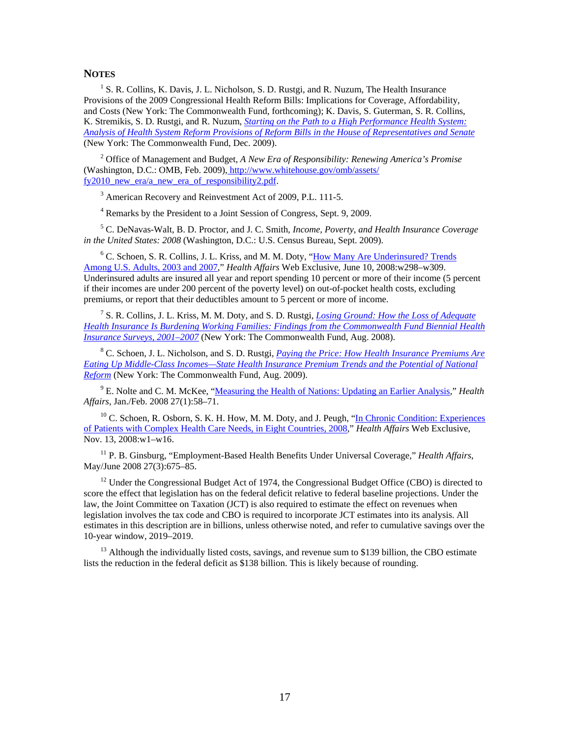#### **NOTES**

<sup>1</sup> S. R. Collins, K. Davis, J. L. Nicholson, S. D. Rustgi, and R. Nuzum, The Health Insurance Provisions of the 2009 Congressional Health Reform Bills: Implications for Coverage, Affordability, and Costs (New York: The Commonwealth Fund, forthcoming); K. Davis, S. Guterman, S. R. Collins, K. Stremikis, S. D. Rustgi, and R. Nuzum, *[Starting on the Path to a High Performance Health System:](http://www.commonwealthfund.org/Content/Publications/Fund-Reports/2009/Nov/Starting-on-the-Path-to-a-High-Performance-Health-System.aspx?page=all)  [Analysis of Health System Reform Provisions of Reform Bills in the House of Representatives and Senate](http://www.commonwealthfund.org/Content/Publications/Fund-Reports/2009/Nov/Starting-on-the-Path-to-a-High-Performance-Health-System.aspx?page=all)* (New York: The Commonwealth Fund, Dec. 2009).

2 Office of Management and Budget, *A New Era of Responsibility: Renewing America's Promise* (Washington, D.C.: OMB, Feb. 2009)[, http://www.whitehouse.gov/omb/assets/](http:/www.whitehouse.gov/omb/assets/fy2010_new_era/a_new_era_of_responsibility2.pdf) [fy2010\\_new\\_era/a\\_new\\_era\\_of\\_responsibility2.pdf.](http:/www.whitehouse.gov/omb/assets/fy2010_new_era/a_new_era_of_responsibility2.pdf)

<sup>3</sup> American Recovery and Reinvestment Act of 2009, P.L. 111-5.

<sup>4</sup> Remarks by the President to a Joint Session of Congress, Sept. 9, 2009.

5 C. DeNavas-Walt, B. D. Proctor, and J. C. Smith*, Income, Poverty, and Health Insurance Coverage in the United States: 2008* (Washington, D.C.: U.S. Census Bureau, Sept. 2009).

<sup>6</sup> C. Schoen, S. R. Collins, J. L. Kriss, and M. M. Doty, "How Many Are Underinsured? Trends [Among U.S. Adults, 2003 and 2007,](http://www.commonwealthfund.org/Content/Publications/In-the-Literature/2008/Jun/How-Many-Are-Underinsured--Trends-Among-U-S--Adults--2003-and-2007.aspx)" *Health Affairs* Web Exclusive, June 10, 2008:w298–w309. Underinsured adults are insured all year and report spending 10 percent or more of their income (5 percent if their incomes are under 200 percent of the poverty level) on out-of-pocket health costs, excluding premiums, or report that their deductibles amount to 5 percent or more of income.

7 S. R. Collins, J. L. Kriss, M. M. Doty, and S. D. Rustgi, *[Losing Ground: How the Loss of Adequate](http://www.commonwealthfund.org/Content/Publications/Fund-Reports/2008/Aug/Losing-Ground--How-the-Loss-of-Adequate-Health-Insurance-Is-Burdening-Working-Families--8212-Finding.aspx)  [Health Insurance Is Burdening Working Families: Findings from the Commonwealth Fund Biennial Health](http://www.commonwealthfund.org/Content/Publications/Fund-Reports/2008/Aug/Losing-Ground--How-the-Loss-of-Adequate-Health-Insurance-Is-Burdening-Working-Families--8212-Finding.aspx)  [Insurance Surveys, 2001–2007](http://www.commonwealthfund.org/Content/Publications/Fund-Reports/2008/Aug/Losing-Ground--How-the-Loss-of-Adequate-Health-Insurance-Is-Burdening-Working-Families--8212-Finding.aspx)* (New York: The Commonwealth Fund, Aug. 2008).

8 C. Schoen, J. L. Nicholson, and S. D. Rustgi, *[Paying the Price: How Health Insurance Premiums Are](http://www.commonwealthfund.org/Content/Publications/Data-Briefs/2009/Aug/Paying-the-Price-How-Health-Insurance-Premiums-Are-Eating-Up-Middle-Class-Incomes.aspx)  [Eating Up Middle-Class Incomes—State Health Insurance Premium Trends and the Potential of National](http://www.commonwealthfund.org/Content/Publications/Data-Briefs/2009/Aug/Paying-the-Price-How-Health-Insurance-Premiums-Are-Eating-Up-Middle-Class-Incomes.aspx)  [Reform](http://www.commonwealthfund.org/Content/Publications/Data-Briefs/2009/Aug/Paying-the-Price-How-Health-Insurance-Premiums-Are-Eating-Up-Middle-Class-Incomes.aspx)* (New York: The Commonwealth Fund, Aug. 2009).

<sup>9</sup> E. Nolte and C. M. McKee, ["Measuring the Health of Nations: Updating an Earlier Analysis,](http://www.commonwealthfund.org/Content/Publications/In-the-Literature/2008/Jan/Measuring-the-Health-of-Nations--Updating-an-Earlier-Analysis.aspx)" *Health Affairs*, Jan./Feb. 2008 27(1):58–71.

<sup>10</sup> C. Schoen, R. Osborn, S. K. H. How, M. M. Doty, and J. Peugh, "In Chronic Condition: Experiences [of Patients with Complex Health Care Needs, in Eight Countries, 2008](http://www.commonwealthfund.org/Content/Publications/In-the-Literature/2008/Nov/In-Chronic-Condition--Experiences-of-Patients-with-Complex-Health-Care-Needs--in-Eight-Countries--20.aspx)," *Health Affairs* Web Exclusive, Nov. 13, 2008:w1–w16.

11 P. B. Ginsburg, "Employment-Based Health Benefits Under Universal Coverage," *Health Affairs*, May/June 2008 27(3):675–85.

 $12$  Under the Congressional Budget Act of 1974, the Congressional Budget Office (CBO) is directed to score the effect that legislation has on the federal deficit relative to federal baseline projections. Under the law, the Joint Committee on Taxation (JCT) is also required to estimate the effect on revenues when legislation involves the tax code and CBO is required to incorporate JCT estimates into its analysis. All estimates in this description are in billions, unless otherwise noted, and refer to cumulative savings over the 10-year window, 2019–2019.

 $13$  Although the individually listed costs, savings, and revenue sum to \$139 billion, the CBO estimate lists the reduction in the federal deficit as \$138 billion. This is likely because of rounding.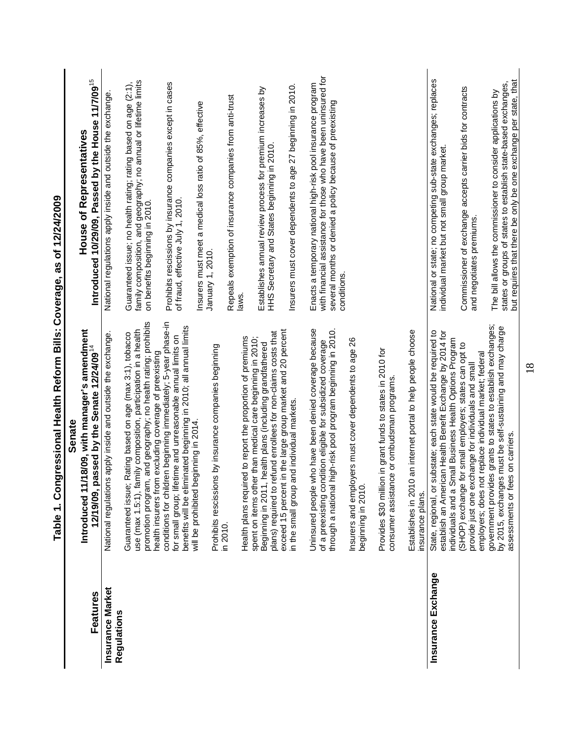<span id="page-23-0"></span>

|                                        | Taber 1.2/24/2009 - Congressures: Congression Realth Report of the Souge, as of 1.2/24/2009                                                                                                                                                                 |                                                                                                                                                                                                           |
|----------------------------------------|-------------------------------------------------------------------------------------------------------------------------------------------------------------------------------------------------------------------------------------------------------------|-----------------------------------------------------------------------------------------------------------------------------------------------------------------------------------------------------------|
|                                        | Senate                                                                                                                                                                                                                                                      |                                                                                                                                                                                                           |
|                                        | Introduced 11/18/09, with manager's amendment                                                                                                                                                                                                               | <b>House of Representatives</b>                                                                                                                                                                           |
| Features                               | 12/19/09, passed by the Senate 12/24/09 <sup>14</sup>                                                                                                                                                                                                       | Introduced 10/29/09, Passed by the House 11/7/09 <sup>15</sup>                                                                                                                                            |
| <b>Insurance Market</b><br>Regulations | National regulations apply inside and outside the exchange.                                                                                                                                                                                                 | National regulations apply inside and outside the exchange                                                                                                                                                |
|                                        | and geography; no health rating; prohibits<br>use (max 1.5:1), family composition, participation in a health<br>Rating based on age (max 3:1), tobacco<br>promotion program,<br>Guaranteed issue;                                                           | family composition, and geography; no annual or lifetime limits<br>on benefits beginning in 2010.<br>Guaranteed issue; no health rating; rating based on age (2:1),                                       |
|                                        | conditions for children beginning immediately; 5-year phase-in<br>benefits will be eliminated beginning in 2010; all annual limits<br>for small group; lifetime and unreasonable annual limits on<br>health insurers from excluding coverage of preexisting | Prohibits rescissions by insurance companies except in cases<br>of fraud, effective July 1, 2010.                                                                                                         |
|                                        | Prohibits rescissions by insurance companies beginning<br>will be prohibited beginning in 2014.                                                                                                                                                             | Insurers must meet a medical loss ratio of 85%, effective<br>January 1, 2010.                                                                                                                             |
|                                        | in 2010.                                                                                                                                                                                                                                                    | Repeals exemption of insurance companies from anti-trust                                                                                                                                                  |
|                                        | Health plans required to report the proportion of premiums<br>spent on items other than medical care beginning in 2010;                                                                                                                                     | laws.                                                                                                                                                                                                     |
|                                        | plans) required to refund enrollees for non-claims costs that<br>Beginning in 2011, health plans (including grandfathered                                                                                                                                   | Establishes annual review process for premium increases by<br>HHS Secretary and States beginning in 2010.                                                                                                 |
|                                        | exceed 15 percent in the large group market and 20 percent<br>in the small group and individual markets.                                                                                                                                                    | Insurers must cover dependents to age 27 beginning in 2010.                                                                                                                                               |
|                                        | Uninsured people who have been denied coverage because<br>through a national high-risk pool program beginning in 2010.<br>of a preexisting condition eligible for subsidized coverage                                                                       | with financial assistance for those who have been uninsured for<br>Enacts a temporary national high-risk pool insurance program<br>several months or denied a policy because of preexisting<br>conditions |
|                                        | Insurers and employers must cover dependents to age 26<br>beginning in 2010.                                                                                                                                                                                |                                                                                                                                                                                                           |
|                                        | Provides \$30 million in grant funds to states in 2010 for<br>consumer assistance or ombudsman programs                                                                                                                                                     |                                                                                                                                                                                                           |
|                                        | an internet portal to help people choose<br>Establishes in 2010<br>insurance plans.                                                                                                                                                                         |                                                                                                                                                                                                           |
| Insurance Exchange                     | establish an American Health Benefit Exchange by 2014 for<br>State, regional, or substate; each state would be required to<br>individuals and a Small Business Health Options Program                                                                       | National or state; no competing sub-state exchanges; replaces<br>individual market but not small group market.                                                                                            |
|                                        | (SHOP) exchange for small employers; states can opt to<br>employers; does not replace individual market; federal<br>provide just one exchange for individuals and small                                                                                     | Commissioner of exchange accepts carrier bids for contracts<br>and negotiates premiums.                                                                                                                   |
|                                        | government provides grants to states to establish exchanges;<br>by 2015, exchanges must be self-sustaining and may charge<br>assessments or fees on carriers.                                                                                               | but requires that there be only be one exchange per state, that<br>states or groups of states to establish state-based exchanges,<br>The bill allows the commissioner to consider applications by         |
|                                        | 18                                                                                                                                                                                                                                                          |                                                                                                                                                                                                           |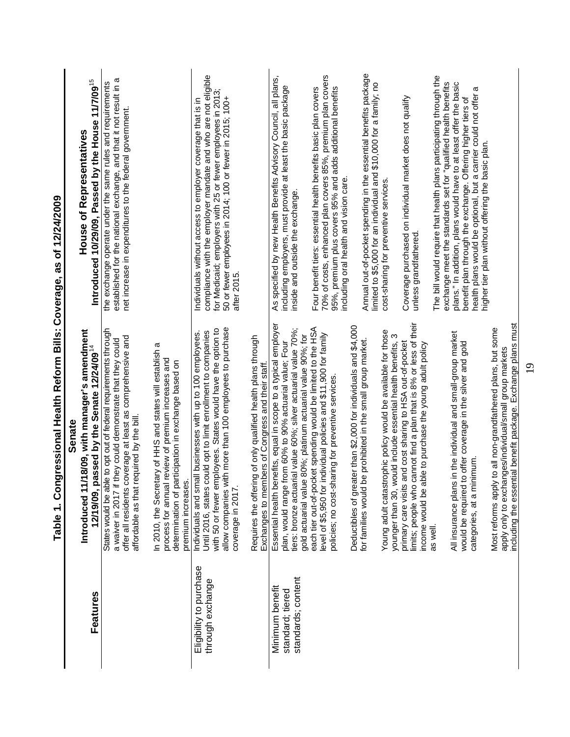|                                                           | contrate to be "phanorized" in the threat through the contrated in the state of the contrated in the contract of the contract of the contract of the contract of the contract of the contract of the contract of the contract                                                 |                                                                                                                                                                                                                                                                                                                                             |
|-----------------------------------------------------------|-------------------------------------------------------------------------------------------------------------------------------------------------------------------------------------------------------------------------------------------------------------------------------|---------------------------------------------------------------------------------------------------------------------------------------------------------------------------------------------------------------------------------------------------------------------------------------------------------------------------------------------|
|                                                           | Senate                                                                                                                                                                                                                                                                        |                                                                                                                                                                                                                                                                                                                                             |
|                                                           | 1/18/09, with manager's amendment<br>Introduced 1                                                                                                                                                                                                                             | <b>House of Representatives</b>                                                                                                                                                                                                                                                                                                             |
| Features                                                  | passed by the Senate 12/24/09 <sup>14</sup><br>12/19/09,                                                                                                                                                                                                                      | Introduced 10/29/09, Passed by the House 11/7/09 <sup>15</sup>                                                                                                                                                                                                                                                                              |
|                                                           | States would be able to opt out of federal requirements through<br>offer all residents coverage at least as comprehensive and<br>a waiver in 2017 if they could demonstrate that they could<br>required by the bill.<br>affordable as that                                    | established for the national exchange, and that it not result in a<br>the exchange operate under the same rules and requirements<br>net increase in expenditures to the federal government                                                                                                                                                  |
|                                                           | In 2010, the Secretary of HHS and states will establish a<br>process for annual review of premium increases and<br>determination of participation in exchange based on<br>premium increase                                                                                    |                                                                                                                                                                                                                                                                                                                                             |
| Eligibility to purchase<br>through exchange               | with more than 100 employees to purchase<br>with 50 or fewer employees. States would have the option to<br>Until 2016, states could opt to limit enrollment to companies<br>Individuals and small businesses with up to 100 employees.<br>coverage in 2017<br>allow companies | compliance with the employer mandate and who are not eligible<br>for Medicaid; employers with 25 or fewer employees in 2013;<br>50 or fewer employees in 2014; 100 or fewer in 2015; 100+<br>Individuals without access to employer coverage that is in<br>after 2015.                                                                      |
|                                                           | Requires the offering of only qualified health plans through<br>Exchanges to members of Congress and their staff.                                                                                                                                                             |                                                                                                                                                                                                                                                                                                                                             |
| standards; content<br>Minimum benefit<br>standard; tiered | Essential health benefits, equal in scope to a typical employer<br>tiers: bronze actuarial value 60%; silver actuarial value 70%;<br>gold actuarial value 80%; platinum actuarial value 90%; for<br>plan, would range from 60% to 90% actuarial value; Four                   | As specified by new Health Benefits Advisory Council, all plans,<br>including employers, must provide at least the basic package<br>inside and outside the exchange                                                                                                                                                                         |
|                                                           | each tier out-of-pocket spending would be limited to the HSA<br>level of \$5,950 for individual policies and \$11,900 for family<br>policies; no cost-sharing for preventive services                                                                                         | 70% of costs, enhanced plan covers 85%, premium plan covers<br>95%, premium plus covers 95% and adds additional benefits<br>Four benefit tiers: essential health benefits basic plan covers<br>including oral health and vision care.                                                                                                       |
|                                                           | Deductibles of greater than \$2,000 for individuals and \$4,000<br>be prohibited in the small group market.<br>for families would                                                                                                                                             | Annual out-of-pocket spending in the essential benefits package<br>limited to \$5,000 for an individual and \$10,000 for a family; no                                                                                                                                                                                                       |
|                                                           | Young adult catastrophic policy would be available for those<br>would include essential health benefits, 3<br>younger than 30,                                                                                                                                                | cost-sharing for preventive services.                                                                                                                                                                                                                                                                                                       |
|                                                           | limits; people who cannot find a plan that is 8% or less of their<br>primary care visits and cost sharing to HSA out-of-pocket<br>able to purchase the young adult policy<br>income would be                                                                                  | Coverage purchased on individual market does not qualify<br>unless grandfathered                                                                                                                                                                                                                                                            |
|                                                           | All insurance plans in the individual and small-group market<br>would be required to offer coverage in the silver and gold<br>categories, at a minimum<br>as well.                                                                                                            | The bill would require that health plans participating through the<br>plans." In addition, plans would have to at least offer the basic<br>exchange meet the standards set for "qualified health benefits<br>health plans would be optional, but a carrier could not offer a<br>benefit plan through the exchange. Offering higher tiers of |
|                                                           | including the essential benefit package. Exchange plans must<br>Most reforms apply to all non-grandfathered plans, but some<br>apply only to exchanges/individual/small group markets                                                                                         | higher tier plan without offering the basic plan.                                                                                                                                                                                                                                                                                           |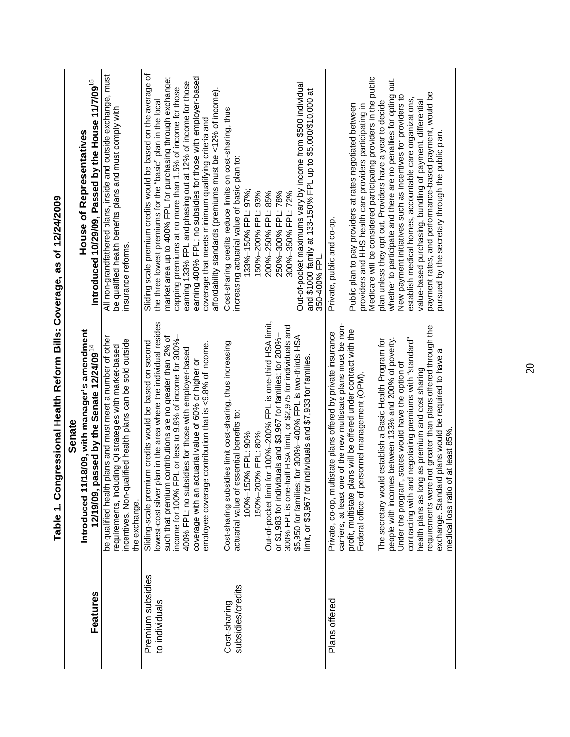|                                     | ressional Health Reform Bills: Coverage, as of 12/24/2009<br>Table 1. Cong                                                                                                                                                                                                                                                                                                                                                                                                                                                                                                                                                                                                                                                             |                                                                                                                                                                                                                                                                                                                                                                                                                                                                                                                                                                                                                                                                  |
|-------------------------------------|----------------------------------------------------------------------------------------------------------------------------------------------------------------------------------------------------------------------------------------------------------------------------------------------------------------------------------------------------------------------------------------------------------------------------------------------------------------------------------------------------------------------------------------------------------------------------------------------------------------------------------------------------------------------------------------------------------------------------------------|------------------------------------------------------------------------------------------------------------------------------------------------------------------------------------------------------------------------------------------------------------------------------------------------------------------------------------------------------------------------------------------------------------------------------------------------------------------------------------------------------------------------------------------------------------------------------------------------------------------------------------------------------------------|
|                                     | 8/09, with manager's amendment<br>Senate<br>Introduced 11/1                                                                                                                                                                                                                                                                                                                                                                                                                                                                                                                                                                                                                                                                            | <b>House of Representatives</b>                                                                                                                                                                                                                                                                                                                                                                                                                                                                                                                                                                                                                                  |
| <b>Features</b>                     | 12/19/09, passed by the Senate 12/24/09 <sup>14</sup>                                                                                                                                                                                                                                                                                                                                                                                                                                                                                                                                                                                                                                                                                  | Introduced 10/29/09, Passed by the House 11/7/09 <sup>15</sup>                                                                                                                                                                                                                                                                                                                                                                                                                                                                                                                                                                                                   |
|                                     | be qualified health plans and must meet a number of other<br>incentives. Non-qualified health plans can be sold outside<br>requirements, including QI strategies with market-based<br>the exchange.                                                                                                                                                                                                                                                                                                                                                                                                                                                                                                                                    | All non-grandfathered plans, inside and outside exchange, must<br>be qualified health benefits plans and must comply with<br>insurance reforms.                                                                                                                                                                                                                                                                                                                                                                                                                                                                                                                  |
| Premium subsidies<br>to individuals | lowest-cost silver plan in the area where the individual resides<br>such that premium contributions are no greater than 2% of<br>income for 100% FPL or less to 9.8% of income for 300%-<br>Sliding-scale premium credits would be based on second<br>contribution that is <9.8% of income.<br>400% FPL; no subsidies for those with employer-based<br>coverage with an actuarial value of 60% or higher or<br>employee coverage                                                                                                                                                                                                                                                                                                       | Sliding scale premium credits would be based on the average of<br>market area up to 400% FPL for purchasing through exchange;<br>earning 400% FPL; no subsidies for those with employer-based<br>earning 133% FPL and phasing out at 12% of income for those<br>capping premiums at no more than 1.5% of income for those<br>affordability standards (premiums must be <12% of income).<br>the three lowest premiums for the "basic" plan in the local<br>coverage that meets minimum qualifying criteria and                                                                                                                                                    |
| subsidies/credits<br>Cost-sharing   | Out-of-pocket limit for 100%-200% FPL is one-third HSA limit,<br>300% FPL is one-half HSA limit, or \$2,975 for individuals and<br>or \$1,983 for individuals and \$3,967 for families; for 200%-<br>\$5,950 for families; for 300%-400% FPL is two-thirds HSA<br>Cost-sharing subsidies limit cost-sharing, thus increasing<br>limit, or \$3,967 for individuals and \$7,933 for families.<br>actuarial value of essential benefits to:<br>100%-150% FPL: 90%<br>150%-200% FPL: 80%                                                                                                                                                                                                                                                   | Out-of-pocket maximums vary by income from \$500 individual<br>and \$1000 family at 133-150% FPL up to \$5,000/\$10,000 at<br>Cost-sharing credits reduce limits on cost-sharing, thus<br>increasing actuarial value of basic plan to:<br>133%-150% FPL: 97%;<br>150%-200% FPL: 93%<br>200%-250% FPL: 85%<br>250%-300% FPL: 78%<br>300%-350% FPL: 72%<br>350-400% FPL.                                                                                                                                                                                                                                                                                           |
| Plans offered                       | carriers, at least one of the new multistate plans must be non-<br>requirements were not greater than plans offered through the<br>is will be offered under contract with the<br>Private, co-op, multistate plans offered by private insurance<br>between 133% and 200% of poverty.<br>negotiating premiums with "standard"<br>establish a Basic Health Program for<br>plans would be required to have a<br>Under the program, states would have the option of<br>as premium and cost sharing<br>Federal office of personnel management (OPM)<br>at least 85%.<br>profit, multistate plan<br>The secretary would<br>people with incomes<br>health plans as long<br>exchange. Standard<br>contracting with and<br>medical loss ratio of | Medicare will be considered participating providers in the public<br>whether to participate and there are no penalties for opting out.<br>payment rates, and performance-based payment, would be<br>New payment initiatives such as incentives for providers to<br>establish medical homes, accountable care organizations,<br>value-based purchasing, bundling of payment, differential<br>plan unless they opt out. Providers have a year to decide<br>Public plan to pay providers at rates negotiated between<br>providers and HHS health care providers participating in<br>pursued by the secretary through the public plan.<br>Private, public and co-op. |
|                                     |                                                                                                                                                                                                                                                                                                                                                                                                                                                                                                                                                                                                                                                                                                                                        |                                                                                                                                                                                                                                                                                                                                                                                                                                                                                                                                                                                                                                                                  |

20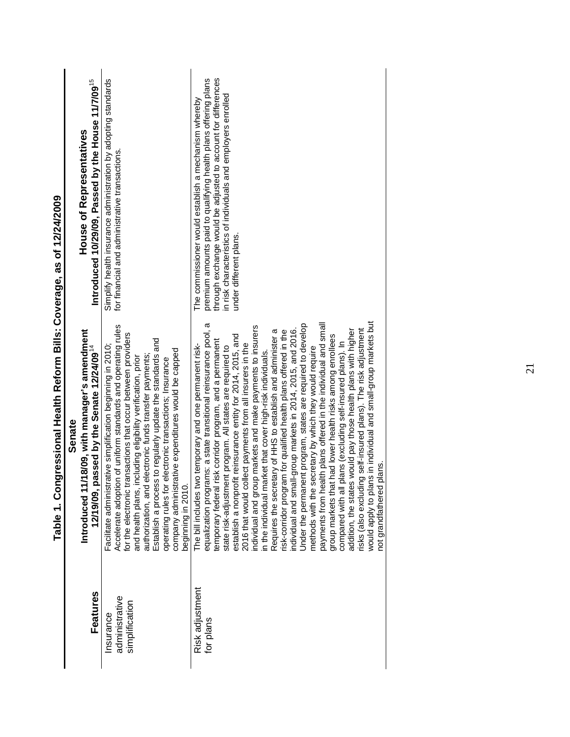|                                              | Senate                                                                                                                                                                                                                                                                                                                                                                                                                                                                                                                                                                                                                                                                                                                                                                                                                                                                                                                                                                                                                                                                                                                                                                                                                                                                     |                                                                                                                                                                                                                                                                                    |
|----------------------------------------------|----------------------------------------------------------------------------------------------------------------------------------------------------------------------------------------------------------------------------------------------------------------------------------------------------------------------------------------------------------------------------------------------------------------------------------------------------------------------------------------------------------------------------------------------------------------------------------------------------------------------------------------------------------------------------------------------------------------------------------------------------------------------------------------------------------------------------------------------------------------------------------------------------------------------------------------------------------------------------------------------------------------------------------------------------------------------------------------------------------------------------------------------------------------------------------------------------------------------------------------------------------------------------|------------------------------------------------------------------------------------------------------------------------------------------------------------------------------------------------------------------------------------------------------------------------------------|
| Features                                     | Introduced 11/18/09, with manager's amendment<br>12/19/09, passed by the Senate 12/24/09 <sup>14</sup>                                                                                                                                                                                                                                                                                                                                                                                                                                                                                                                                                                                                                                                                                                                                                                                                                                                                                                                                                                                                                                                                                                                                                                     | Introduced 10/29/09, Passed by the House 11/7/09 <sup>15</sup><br><b>House of Representatives</b>                                                                                                                                                                                  |
| administrative<br>simplification<br>nsurance | Accelerate adoption of uniform standards and operating rules<br>for the electronic transactions that occur between providers<br>Establish a process to regularly update the standards and<br>Facilitate administrative simplification beginning in 2010;<br>company administrative expenditures would be capped<br>authorization, and electronic funds transfer payments;<br>and health plans, including eligibility verification, prior<br>operating rules for electronic transactions; Insurance<br>beginning in 2010.                                                                                                                                                                                                                                                                                                                                                                                                                                                                                                                                                                                                                                                                                                                                                   | Simplify health insurance administration by adopting standards<br>for financial and administrative transactions.                                                                                                                                                                   |
| Risk adjustment<br>for plans                 | would apply to plans in individual and small-group markets but<br>equalization programs: a state transitional reinsurance pool, a<br>Under the permanent program, states are required to develop<br>payments from health plans offered in the individual and small<br>individual and group markets and make payments to insurers<br>individual and small-group markets in 2014, 2015, and 2016.<br>risks (also excluding self-insured plans). The risk adjustment<br>Requires the secretary of HHS to establish and administer a<br>risk-corridor program for qualified health plans offered in the<br>addition, the states would pay those health plans with higher<br>establish a nonprofit reinsurance entity for 2014, 2015, and<br>had lower health risks among enrollees<br>isk corridor program, and a permanent<br>compared with all plans (excluding self-insured plans). In<br>2016 that would collect payments from all insurers in the<br>The bill includes two temporary and one permanent risk-<br>state risk-adjustment program. All states are required to<br>methods with the secretary by which they would require<br>in the individual market that cover high-risk individuals.<br>ans.<br>group markets that<br>not grandfathered<br>temporary federal | through exchange would be adjusted to account for differences<br>premium amounts paid to qualifying health plans offering plans<br>in risk characteristics of individuals and employers enrolled<br>The commissioner would establish a mechanism whereby<br>under different plans. |
|                                              |                                                                                                                                                                                                                                                                                                                                                                                                                                                                                                                                                                                                                                                                                                                                                                                                                                                                                                                                                                                                                                                                                                                                                                                                                                                                            |                                                                                                                                                                                                                                                                                    |

# Table 1. Congressional Health Reform Bills: Coverage, as of 12/24/2009 **Table 1. Congressional Health Reform Bills: Coverage, as of 12/24/2009**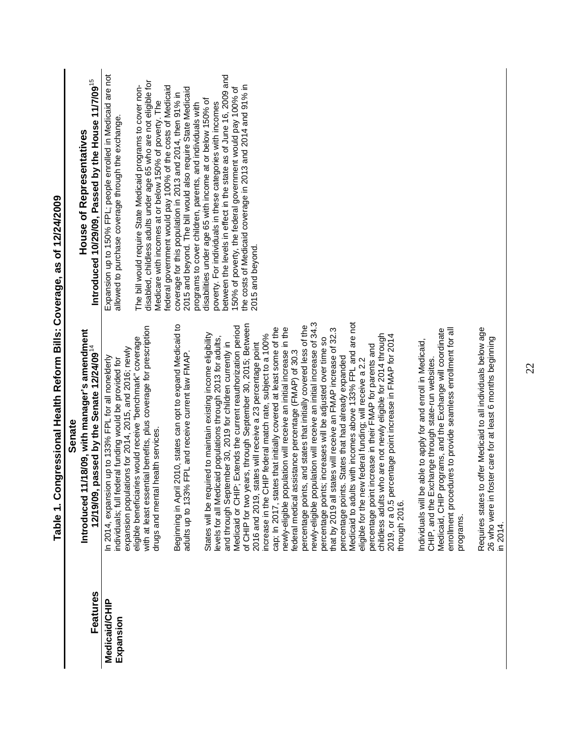| $\begin{array}{c}\n\bullet \\ \bullet \\ \bullet \\ \bullet \\ \bullet \\ \bullet\n\end{array}$<br>ļ |
|------------------------------------------------------------------------------------------------------|
| )<br> }<br>                                                                                          |
| <b>Liovarana as hi</b>                                                                               |
| $rac{1}{2}$                                                                                          |
|                                                                                                      |
|                                                                                                      |
| $\frac{1}{2}$                                                                                        |
| J                                                                                                    |
|                                                                                                      |
|                                                                                                      |

|                                   | <b>Senate</b>                                                                                                                                                            |                                                                                                                                  |
|-----------------------------------|--------------------------------------------------------------------------------------------------------------------------------------------------------------------------|----------------------------------------------------------------------------------------------------------------------------------|
|                                   | 1/18/09, with manager's amendment<br>Introduced                                                                                                                          | <b>House of Representatives</b>                                                                                                  |
| <b>Features</b>                   | passed by the Senate 12/24/09 <sup>14</sup><br>12/19/09,                                                                                                                 | Introduced 10/29/09, Passed by the House 11/7/09 <sup>15</sup>                                                                   |
| <b>Medicaid/CHIP</b><br>Expansion | expansion populations for 2014, 2015, and 2016; newly<br>In 2014, expansion up to 133% FPL for all nonelderly<br>individuals; full federal funding would be provided for | Expansion up to 150% FPL; people enrolled in Medicaid are not<br>allowed to purchase coverage through the exchange               |
|                                   | with at least essential benefits, plus coverage for prescription<br>eligible beneficiaries would receive "benchmark" coverage                                            | disabled, childless adults under age 65 who are not eligible for<br>The bill would require State Medicaid programs to cover non- |
|                                   | drugs and mental health services.                                                                                                                                        | federal government would pay 100% of the costs of Medicaid<br>Medicare with incomes at or below 150% of poverty. The             |
|                                   | il 2010, states can opt to expand Medicaid to<br>adults up to 133% FPL and receive current law FMAP<br>Beginning in Apr                                                  | 2015 and beyond. The bill would also require State Medicaid<br>coverage for this population in 2013 and 2014, then 91% in        |
|                                   | States will be required to maintain existing income eligibility                                                                                                          | disabilities under age 65 with income at or below 150% of<br>programs to cover children, parents, and individuals with           |
|                                   | levels for all Medicaid populations through 2013 for adults,<br>and through September 30, 2019 for children currently in                                                 | between the levels in effect in the state as of June 16, 2009 and<br>poverty. For individuals in these categories with incomes   |
|                                   | Medicaid or CHIP; Extends the current reauthorization period                                                                                                             | the costs of Medicaid coverage in 2013 and 2014 and 91% in<br>150% of poverty, the federal government would pay 100% of          |
|                                   | of CHIP for two years, through September 30, 2015; Between<br>2016 and 2019, states will receive a 23 percentage point                                                   | 2015 and beyond.                                                                                                                 |
|                                   | cap; In 2017, states that initially covered at least some of the<br>increase in the CHIP federal match rate, subject to a 100%                                           |                                                                                                                                  |
|                                   | newly-eligible population will receive an initial increase in the<br>federal medical assistance percentage (FMAP) of 30.3                                                |                                                                                                                                  |
|                                   | percentage points, and states that initially covered less of the                                                                                                         |                                                                                                                                  |
|                                   | newly-eligible population will receive an initial increase of 34.3<br>percentage points; increases will be adjusted over time so                                         |                                                                                                                                  |
|                                   | that by 2019 all states will receive an FMAP increase of 32.3                                                                                                            |                                                                                                                                  |
|                                   | is with incomes above 133% FPL and are not<br>percentage points. States that had already expanded<br>Medicaid to adult                                                   |                                                                                                                                  |
|                                   | percentage point increase in their FMAP for parents and<br>eligible for the new federal funding; will receive a 2.2                                                      |                                                                                                                                  |
|                                   | childless adults who are not newly eligible for 2014 through<br>2019, or a 0.5 percentage point increase in FMAP for 2014                                                |                                                                                                                                  |
|                                   | through 2016.                                                                                                                                                            |                                                                                                                                  |
|                                   | Individuals will be able to apply for and enroll in Medicaid,<br>CHIP, and the Exchange through state-run websites.                                                      |                                                                                                                                  |
|                                   | Medicaid, CHIP programs, and the Exchange will coordinate<br>enrollment procedures to provide seamless enrollment for all<br>programs.                                   |                                                                                                                                  |
|                                   |                                                                                                                                                                          |                                                                                                                                  |
|                                   | to offer Medicaid to all individuals below age<br>26 who were in foster care for at least 6 months beginning<br>Requires states<br>in 2014.                              |                                                                                                                                  |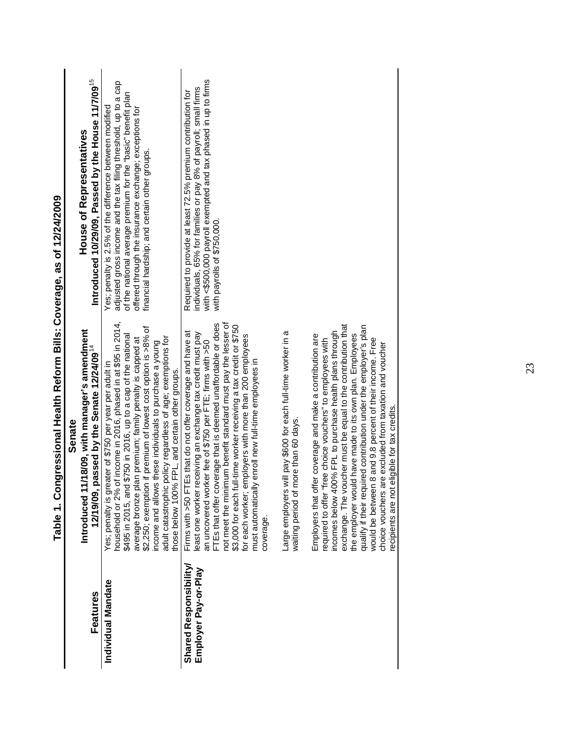|                                                | Senate                                                                                                                                                                                                                                                                                                                                                                                                                                                                                                                                                        |                                                                                                                                                                                                                                                                                                       |
|------------------------------------------------|---------------------------------------------------------------------------------------------------------------------------------------------------------------------------------------------------------------------------------------------------------------------------------------------------------------------------------------------------------------------------------------------------------------------------------------------------------------------------------------------------------------------------------------------------------------|-------------------------------------------------------------------------------------------------------------------------------------------------------------------------------------------------------------------------------------------------------------------------------------------------------|
| Features                                       | 1/18/09, with manager's amendment<br>passed by the Senate 12/24/09 <sup>14</sup><br>Introduced 1<br>12/19/09,                                                                                                                                                                                                                                                                                                                                                                                                                                                 | Introduced 10/29/09, Passed by the House 11/7/09 <sup>15</sup><br><b>House of Representatives</b>                                                                                                                                                                                                     |
| Individual Mandate                             | household or 2% of income in 2016, phased in at \$95 in 2014,<br>\$2,250; exemption if premium of lowest cost option is >8% of<br>\$750 in 2016, up to a cap of the national<br>policy regardless of age; exemptions for<br>average bronze plan premium; family penalty is capped at<br>income and allows these individuals to purchase a young<br>eater of \$750 per year per adult in<br>those below 100% FPL, and certain other groups<br>\$495 in 2015, and<br>adult catastrophic<br>Yes; penalty is gre                                                  | adjusted gross income and the tax filing threshold, up to a cap<br>of the national average premium for the "basic" benefit plan<br>Yes; penalty is 2.5% of the difference between modified<br>offered through the insurance exchange; exceptions for<br>financial hardship; and certain other groups. |
| Shared Responsibility/<br>Employer Pay-or-Play | FTEs that offer coverage that is deemed unaffordable or does<br>not meet the minimum benefit standard must pay the lesser of<br>\$3,000 for each full-time worker receiving a tax credit or \$750<br>FEs that do not offer coverage and have at<br>receiving an exchange tax credit must pay<br>for each worker; employers with more than 200 employees<br>an uncovered worker fee of \$750 per FTE; firms with >50<br>y enroll new full-time employees in<br>east one worker<br>Firms with >50 F<br>must automaticall<br>coverage                            | with <\$500,000 payroll exempted and tax phased in up to firms<br>individuals, 65% for families or pay 8% of payroll; small firms<br>Required to provide at least 72.5% premium contribution for<br>with payrolls of \$750,000.                                                                       |
|                                                | will pay \$600 for each full-time worker in a<br>waiting period of more than 60 days.<br>Large employers                                                                                                                                                                                                                                                                                                                                                                                                                                                      |                                                                                                                                                                                                                                                                                                       |
|                                                | exchange. The voucher must be equal to the contribution that<br>the employer would have made to its own plan. Employees<br>qualify if their required contribution under the employer's plan<br>incomes below 400% FPL to purchase health plans through<br>fer coverage and make a contribution are<br>would be between 8 and 9.8 percent of their income. Free<br>required to offer "free choice vouchers" to employees with<br>choice vouchers are excluded from taxation and voucher<br>eligible for tax credits<br>Employers that off<br>ecipients are not |                                                                                                                                                                                                                                                                                                       |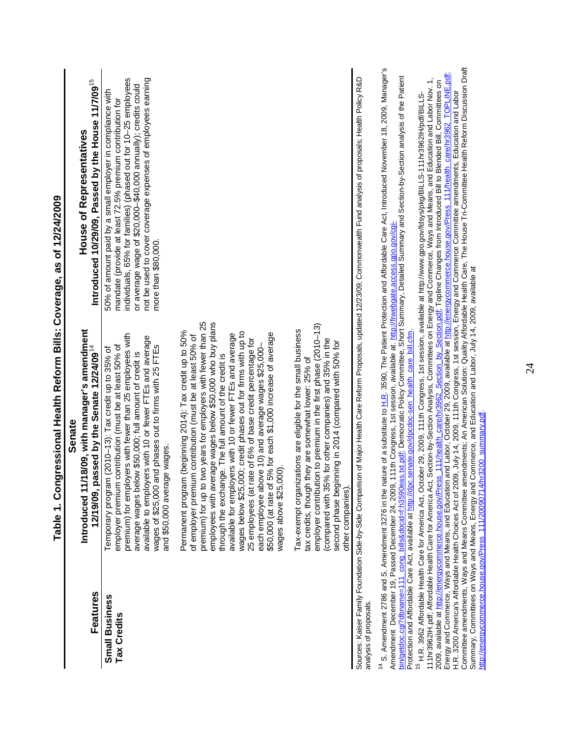|                                                                                                          | Table 1. Congressional Health Reform Bills: Coverage, as of 12/24/2009                                                                                                                                                                                                                                                                                                                                                                                                                                                                                                                                                                                                                          |                                                                                                                                                                                                                                                                                                                                                          |
|----------------------------------------------------------------------------------------------------------|-------------------------------------------------------------------------------------------------------------------------------------------------------------------------------------------------------------------------------------------------------------------------------------------------------------------------------------------------------------------------------------------------------------------------------------------------------------------------------------------------------------------------------------------------------------------------------------------------------------------------------------------------------------------------------------------------|----------------------------------------------------------------------------------------------------------------------------------------------------------------------------------------------------------------------------------------------------------------------------------------------------------------------------------------------------------|
|                                                                                                          | Senate                                                                                                                                                                                                                                                                                                                                                                                                                                                                                                                                                                                                                                                                                          |                                                                                                                                                                                                                                                                                                                                                          |
| <b>Features</b>                                                                                          | /18/09, with manager's amendment<br>12/19/09, passed by the Senate 12/24/09 $^{14}$<br>Introduced 11                                                                                                                                                                                                                                                                                                                                                                                                                                                                                                                                                                                            | Introduced 10/29/09, Passed by the House 11/7/09 <sup>15</sup><br><b>House of Representatives</b>                                                                                                                                                                                                                                                        |
| <b>Small Business</b><br>Tax Credits                                                                     | premium) for employers with fewer than 25 employees with<br>available to employers with 10 or fewer FTEs and average<br>wages of \$25,000 and phases out to firms with 25 FTEs<br>employer premium contribution (must be at least 50% of<br>Temporary program (2010-13): Tax credit up to 35% of<br>average wages below \$50,000; full amount of credit is<br>and \$50,000 average wages.                                                                                                                                                                                                                                                                                                       | individuals, 65% for families) (phased out for 10-25 employees<br>not be used to cover coverage expenses of employees earning<br>or average wage of \$20,000-\$40,000 annually); credits could<br>50% of amount paid by a small employer in compliance with<br>mandate (provide at least 72.5% premium contribution for<br>more than \$80,000.           |
|                                                                                                          | premium) for up to two years for employers with fewer than 25<br>employees with average wages below \$50,000 who buy plans<br>Permanent program (beginning 2014): Tax credit up to 50%<br>wages below \$25,000; credit phases out for firms with up to<br>available for employers with 10 or fewer FTEs and average<br>\$50,000 (at rate of 5% for each \$1,000 increase of average<br>of employer premium contribution (must be at least 50% of<br>25 employees (at rate of 6% of base credit percentage for<br>each employee above 10) and average wages \$25,000-<br>through the exchange. The full amount of the credit is<br>wages above \$25,000).                                        |                                                                                                                                                                                                                                                                                                                                                          |
|                                                                                                          | employer contribution to premium in the first phase (2010-13)<br>Tax-exempt organizations are eligible for the small business<br>(compared with 35% for other companies) and 35% in the<br>second phase beginning in 2014 (compared with 50% for<br>tax credits, though they are somewhat lower: 25% of<br>other companies).                                                                                                                                                                                                                                                                                                                                                                    |                                                                                                                                                                                                                                                                                                                                                          |
| analysis of proposals.                                                                                   | Sources: Kaiser Family Foundation Side-by-Side Comparison of Major Health Care Reform Proposals, updated 12/23/09; Commonwealth Fund analysis of proposals; Health Policy R&D                                                                                                                                                                                                                                                                                                                                                                                                                                                                                                                   |                                                                                                                                                                                                                                                                                                                                                          |
|                                                                                                          | bin/getdoc.cgi?dbname=111_cong_bills&docid=f:h3590eas.txt.pdf; Democratic Policy Committee, Short Summary, Detailed Summary and Section-by-Section analysis of the Patient<br>Amendment December 19, Passed December 24, 2009, 111th Congress, 1st session, available at. http://frwebgate.access.gpo.gov/cgi-<br>Protection and Affordable Care Act, available at <u>http://dpc.senate.gov/dpcdoc-sen_health_care_bill.cfm</u> .                                                                                                                                                                                                                                                               | <sup>14</sup> S. Amendment 2786 and S. Amendment 3276 in the nature of a substitute to H.R. 3590, The Patient Protection and Affordable Care Act, Introduced November 18, 2009, Manager's                                                                                                                                                                |
| Summary, Committees on Ways and Means, Energy and<br>http://energycommerce.house.gov/Press_111/20090714/ | 111nr3962IH,pdf, Affordable Health Care for America Act, Section-by-Section Analysis, Committees on Energy and Commerce, Ways and Means, and Education and Labor Nov. 1,<br>2009, available at <u>http://energycommerce.house.gov/P</u><br>H.R. 3200 America's Affordable Health Choices Act of 2009, July 14, 2009, 111th Congress, 1st session, Energy and Commerce Committee amendments, Education and Labor<br><sup>15</sup> H.R. 3962 Affordable Health Care for America Act, October 29, 2009, 11th Congress, 1st session, available at http://www.gpo.gov/fdsys/pkg/BILLS-111hr3962IH/pdf/BILLS-<br>Commerce, and Education and Labor, July 14, 2009, available at<br>hr3200_summary.pdf | Committee amendments, Ways and Means Committee amendments; An American Solution: Quality Affordable Health Care, The House Tri-Committee Health Reform Discussion Draft<br>Energy and Commerce, Ways and Means, and Education and Labor, October 29, 2009, available at <u>http://energycommerce.house.gov/Press_111/health_care/hr3962_TOPLINE.pdf;</u> |

24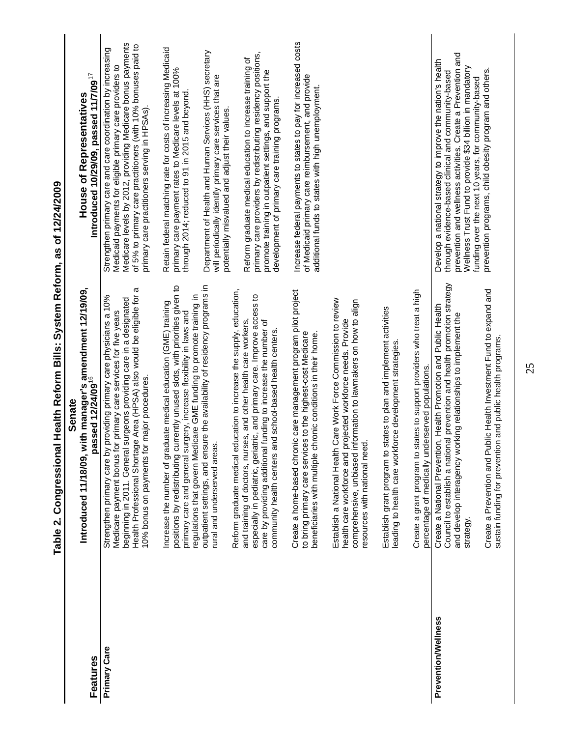<span id="page-30-0"></span>

|                     | <b>IIIBDI I IBIIDIのDISIDI)</b><br>j<br>usia<br>Da                                                                                                                                                                                                                                                                                                 | こうつき                                                                                                                                                                                                                                                                                                    |
|---------------------|---------------------------------------------------------------------------------------------------------------------------------------------------------------------------------------------------------------------------------------------------------------------------------------------------------------------------------------------------|---------------------------------------------------------------------------------------------------------------------------------------------------------------------------------------------------------------------------------------------------------------------------------------------------------|
|                     | Senate                                                                                                                                                                                                                                                                                                                                            | <b>House of Representatives</b>                                                                                                                                                                                                                                                                         |
| Features            | Introduced 11/18/09, with manager's amendment 12/19/09,<br>passed 12/24/09 <sup>16</sup>                                                                                                                                                                                                                                                          | Introduced 10/29/09, passed 11/7/09 <sup>17</sup>                                                                                                                                                                                                                                                       |
| Primary Care        | Health Professional Shortage Area (HPSA) also would be eligible for a<br>Strengthen primary care by providing primary care physicians a 10%<br>surgeons providing care in a designated<br>Medicare payment bonus for primary care services for five years<br>10% bonus on payments for major procedures.<br>beginning in 2011. General            | Medicare levels by 2012, providing Medicare bonus payments<br>of 5% to primary care practitioners (with 10% bonuses paid to<br>Strengthen primary care and care coordination by increasing<br>Medicaid payments for eligible primary care providers to<br>primary care practitioners serving in HPSAs). |
|                     | positions by redistributing currently unused slots, with priorities given to<br>regulations that govern Medicare GME funding to promote training in<br>Increase the number of graduate medical education (GME) training<br>primary care and general surgery, increase flexibility in laws and                                                     | Retain federal matching rate for costs of increasing Medicaid<br>primary care payment rates to Medicare levels at 100%<br>through 2014; reduced to 91 in 2015 and beyond                                                                                                                                |
|                     | outpatient settings, and ensure the availability of residency programs in<br>rural and underserved areas.                                                                                                                                                                                                                                         | Department of Health and Human Services (HHS) secretary<br>will periodically identify primary care services that are<br>potentially misvalued and adjust their values.                                                                                                                                  |
|                     | Reform graduate medical education to increase the supply, education,<br>especially in pediatric, geriatric, and primary care. Improve access to<br>and training of doctors, nurses, and other health care workers,<br>care by providing additional funding to increase the number of<br>community health centers and school-based health centers. | primary care providers by redistributing residency positions,<br>Reform graduate medical education to increase training of<br>promote training in outpatient settings, and support the<br>development of primary care training programs                                                                 |
|                     | Create a home-based chronic care management program pilot project<br>to bring primary care services to the highest-cost Medicare<br>beneficiaries with multiple chronic conditions in their home                                                                                                                                                  | Increase federal payments to states to pay for increased costs<br>of Medicaid primary care reimbursement, and provide<br>additional funds to states with high unemployment.                                                                                                                             |
|                     | Care Work Force Commission to review<br>nformation to lawmakers on how to align<br>projected workforce needs. Provide<br>resources with national need.<br>Establish a National Health<br>comprehensive, unbiased i<br>health care workforce and                                                                                                   |                                                                                                                                                                                                                                                                                                         |
|                     | Establish grant program to states to plan and implement activities<br>leading to health care workforce development strategies                                                                                                                                                                                                                     |                                                                                                                                                                                                                                                                                                         |
|                     | Create a grant program to states to support providers who treat a high<br>percentage of medically underserved populations.                                                                                                                                                                                                                        |                                                                                                                                                                                                                                                                                                         |
| Prevention/Wellness | Council to establish a national prevention and health promotion strategy<br>Create a National Prevention, Health Promotion and Public Health<br>and develop interagency working relationships to implement the<br>strategy.                                                                                                                       | prevention and wellness activities. Create a Prevention and<br>Develop a national strategy to improve the nation's health<br>Wellness Trust Fund to provide \$34 billion in mandatory<br>through evidence-based clinical and community-based<br>funding over the next 10 years, for community-based     |
|                     | Create a Prevention and Public Health Investment Fund to expand and<br>sustain funding for prevention and public health programs.                                                                                                                                                                                                                 | prevention programs, child obesity program and others                                                                                                                                                                                                                                                   |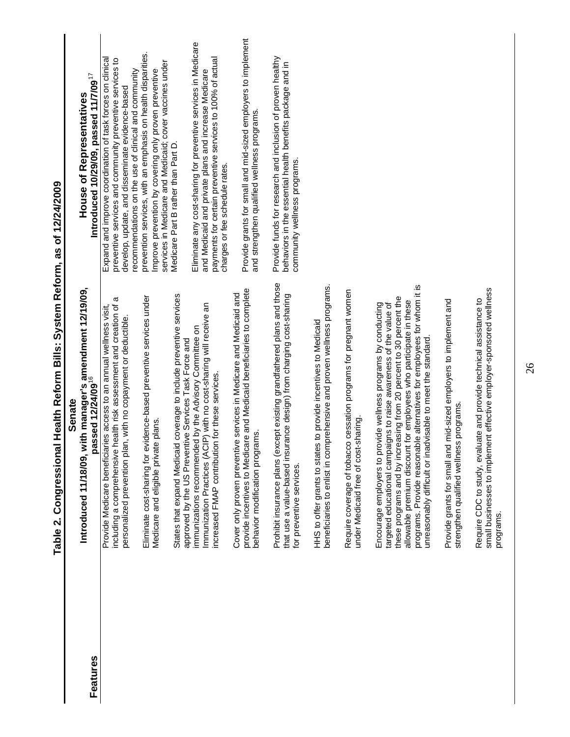|          | <b>Senate</b>                                                                                                                                                                                                                                                                                                                                                                                                          |                                                                                                                                                                                                                                   |
|----------|------------------------------------------------------------------------------------------------------------------------------------------------------------------------------------------------------------------------------------------------------------------------------------------------------------------------------------------------------------------------------------------------------------------------|-----------------------------------------------------------------------------------------------------------------------------------------------------------------------------------------------------------------------------------|
| Features | ith manager's amendment 12/19/09,<br>passed 12/24/09 <sup>16</sup><br>Introduced 11/18/09, w                                                                                                                                                                                                                                                                                                                           | Introduced 10/29/09, passed 11/7/09 $^{17}$<br>House of Representatives                                                                                                                                                           |
|          | including a comprehensive health risk assessment and creation of a<br>Provide Medicare beneficiaries access to an annual wellness visit.<br>personalized prevention plan, with no copayment or deductible                                                                                                                                                                                                              | Expand and improve coordination of task forces on clinical<br>preventive services and community preventive services to<br>recommendations on the use of clinical and community<br>develop, update, and disseminate evidence-based |
|          | Eliminate cost-sharing for evidence-based preventive services under<br>Medicare and eligible private plans.                                                                                                                                                                                                                                                                                                            | prevention services, with an emphasis on health disparities.<br>services in Medicare and Medicaid; cover vaccines under<br>Improve prevention by covering only proven preventive                                                  |
|          | coverage to include preventive services<br>approved by the US Preventive Services Task Force and<br>States that expand Medicaid                                                                                                                                                                                                                                                                                        | Medicare Part B rather than Part D.                                                                                                                                                                                               |
|          | Immunization Practices (ACIP) with no cost-sharing will receive an<br>immunizations recommended by the Advisory Committee on<br>increased FMAP contribution for these services.                                                                                                                                                                                                                                        | Eliminate any cost-sharing for preventive services in Medicare<br>payments for certain preventive services to 100% of actual<br>and Medicaid and private plans and increase Medicare<br>charges or fee schedule rates.            |
|          | provide incentives to Medicare and Medicaid beneficiaries to complete<br>Cover only proven preventive services in Medicare and Medicaid and<br>behavior modification programs.                                                                                                                                                                                                                                         | Provide grants for small and mid-sized employers to implement<br>and strengthen qualified wellness programs.                                                                                                                      |
|          | Prohibit insurance plans (except existing grandfathered plans and those<br>that use a value-based insurance design) from charging cost-sharing<br>for preventive services.                                                                                                                                                                                                                                             | Provide funds for research and inclusion of proven healthy<br>behaviors in the essential health benefits package and in<br>community wellness programs.                                                                           |
|          | beneficiaries to enlist in comprehensive and proven wellness programs.<br>HHS to offer grants to states to provide incentives to Medicaid                                                                                                                                                                                                                                                                              |                                                                                                                                                                                                                                   |
|          | Require coverage of tobacco cessation programs for pregnant women<br>under Medicaid free of cost-sharing                                                                                                                                                                                                                                                                                                               |                                                                                                                                                                                                                                   |
|          | programs. Provide reasonable alternatives for employees for whom it is<br>these programs and by increasing from 20 percent to 30 percent the<br>allowable premium discount for employees who participate in these<br>Encourage employers to provide wellness programs by conducting<br>targeted educational campaigns to raise awareness of the value of<br>unreasonably difficult or inadvisable to meet the standard |                                                                                                                                                                                                                                   |
|          | Provide grants for small and mid-sized employers to implement and<br>strengthen qualified wellness programs                                                                                                                                                                                                                                                                                                            |                                                                                                                                                                                                                                   |
|          | small businesses to implement effective employer-sponsored wellness<br>Require CDC to study, evaluate and provide technical assistance to<br>programs.                                                                                                                                                                                                                                                                 |                                                                                                                                                                                                                                   |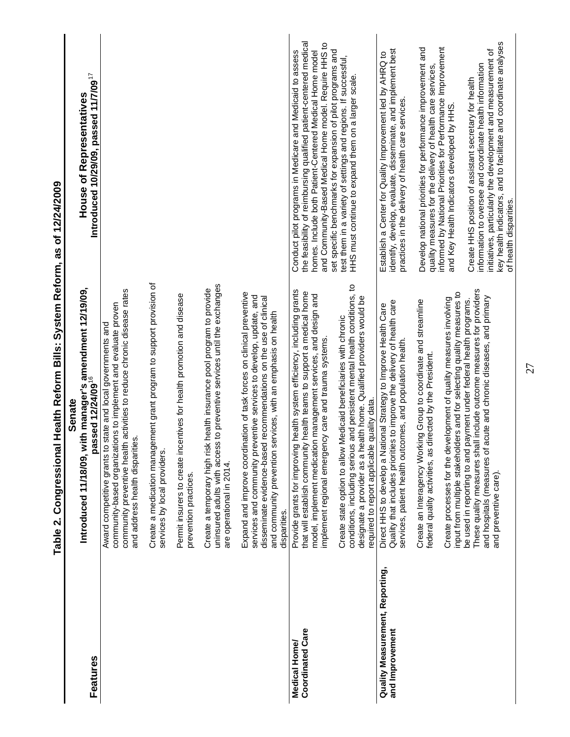|                                                    | יאבר בארי המינה את המונח בארי המינה את המינה בארי המינה ביו המינה ביו המינה ביו המינה ביו המינה ביו המינה ביו<br>ביו המינה ביו המינה ביו המינה ביו המינה ביו המינה ביו המינה ביו המינה ביו המינה ביו המינה ביו המינה ביו המינה<br>ionasa istina):7 and i                                          | ことりこ                                                                                                                                                                                                                                                                                                               |
|----------------------------------------------------|---------------------------------------------------------------------------------------------------------------------------------------------------------------------------------------------------------------------------------------------------------------------------------------------------|--------------------------------------------------------------------------------------------------------------------------------------------------------------------------------------------------------------------------------------------------------------------------------------------------------------------|
| Features                                           | Introduced 11/18/09, with manager's amendment 12/19/09,<br>passed 12/24/09 <sup>16</sup><br>Senate                                                                                                                                                                                                | Introduced 10/29/09, passed 11/7/09 <sup>17</sup><br><b>House of Representatives</b>                                                                                                                                                                                                                               |
|                                                    | community preventive health activities to reduce chronic disease rates<br>community-based organizations to implement and evaluate proven<br>state and local governments and<br>and address health disparities.<br>Award competitive grants to                                                     |                                                                                                                                                                                                                                                                                                                    |
|                                                    | Create a medication management grant program to support provision of<br>services by local providers.                                                                                                                                                                                              |                                                                                                                                                                                                                                                                                                                    |
|                                                    | Permit insurers to create incentives for health promotion and disease<br>prevention practices.                                                                                                                                                                                                    |                                                                                                                                                                                                                                                                                                                    |
|                                                    | uninsured adults with access to preventive services until the exchanges<br>Create a temporary high risk health insurance pool program to provide<br>are operational in 2014.                                                                                                                      |                                                                                                                                                                                                                                                                                                                    |
|                                                    | Expand and improve coordination of task forces on clinical preventive<br>services and community preventive services to develop, update, and<br>disseminate evidence-based recommendations on the use of clinical<br>and community prevention services, with an emphasis on health<br>disparities. |                                                                                                                                                                                                                                                                                                                    |
| <b>Coordinated Care</b><br>Medical Home/           | Provide grants for improving health system efficiency, including grants<br>that will establish community health teams to support a medical home<br>model, implement medication management services, and design and<br>implement regional emergency care and trauma systems.                       | the feasibility of reimbursing qualified patient-centered medical<br>and Community-Based Medical Home model. Require HHS to<br>set specific benchmarks for expansion of pilot programs and<br>Conduct pilot programs in Medicare and Medicaid to assess<br>homes. Include both Patient-Centered Medical Home model |
|                                                    | conditions, including serious and persistent mental health conditions, to<br>designate a provider as a health home. Qualified providers would be<br>Medicaid beneficiaries with chronic<br>quality data.<br>Create state option to allow<br>required to report applicable                         | test them in a variety of settings and regions. If successful,<br>HHS must continue to expand them on a larger scale.                                                                                                                                                                                              |
| Quality Measurement, Reporting,<br>and Improvement | Quality that includes priorities to improve the delivery of health care<br>Direct HHS to develop a National Strategy to Improve Health Care<br>services, patient health outcomes, and population health.                                                                                          | identify, develop, evaluate, disseminate, and implement best<br>Establish a Center for Quality Improvement led by AHRQ to<br>practices in the delivery of health care services.                                                                                                                                    |
|                                                    | Create an Interagency Working Group to coordinate and streamline<br>federal quality activities, as directed by the President.                                                                                                                                                                     | informed by National Priorities for Performance Improvement<br>Develop national priorities for performance improvement and<br>quality measures for the delivery of health care services,                                                                                                                           |
|                                                    | input from multiple stakeholders and for selecting quality measures to<br>Create processes for the development of quality measures involving                                                                                                                                                      | and Key Health Indicators developed by HHS                                                                                                                                                                                                                                                                         |
|                                                    | These quality measures shall include outcome measures for providers<br>acute and chronic diseases, and primary<br>be used in reporting to and payment under federal health programs.<br>and hospitals (measures of<br>and preventive care).                                                       | key health indicators, and to facilitate and coordinate analyses<br>initiatives, particularly the development and measurement of<br>information to oversee and coordinate health information<br>Create HHS position of assistant secretary for health<br>of health disparities.                                    |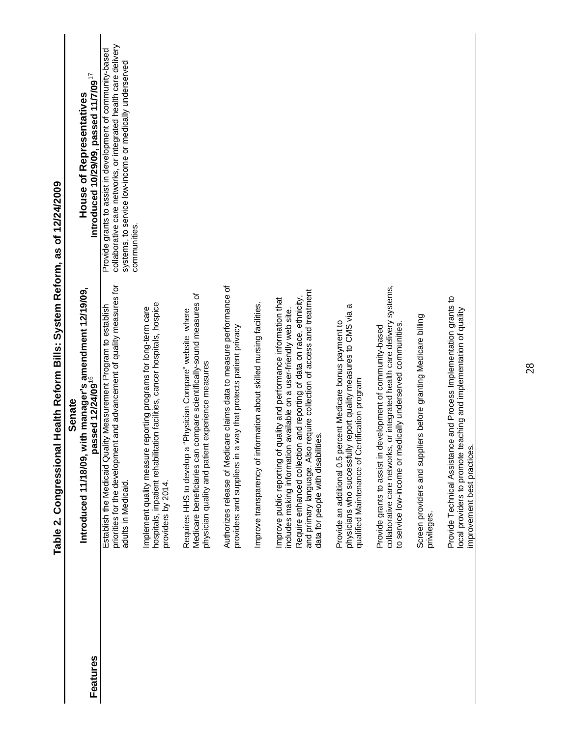|          | Senate                                                                                                                                                                                                                                                                                                                                |                                                                                                                                                                                                          |
|----------|---------------------------------------------------------------------------------------------------------------------------------------------------------------------------------------------------------------------------------------------------------------------------------------------------------------------------------------|----------------------------------------------------------------------------------------------------------------------------------------------------------------------------------------------------------|
| Features | Introduced 11/18/09, with manager's amendment 12/19/09,<br>passed 12/24/09 <sup>16</sup>                                                                                                                                                                                                                                              | Introduced 10/29/09, passed 11/7/09 $^{17}$<br><b>House of Representatives</b>                                                                                                                           |
|          | priorities for the development and advancement of quality measures for<br>Establish the Medicaid Quality Measurement Program to establish<br>adults in Medicaid.                                                                                                                                                                      | collaborative care networks, or integrated health care delivery<br>Provide grants to assist in development of community-based<br>systems, to service low-income or medically underserved<br>communities. |
|          | hospitals, inpatient rehabilitation facilities, cancer hospitals, hospice<br>reporting programs for long-term care<br>Implement quality measure<br>providers by 2014.                                                                                                                                                                 |                                                                                                                                                                                                          |
|          | Medicare beneficiaries can compare scientifically-sound measures of<br>"Physician Compare" website where<br>experience measures<br>physician quality and patient<br>Requires HHS to develop a                                                                                                                                         |                                                                                                                                                                                                          |
|          | Authorizes release of Medicare claims data to measure performance of<br>way that protects patient privacy<br>providers and suppliers in a                                                                                                                                                                                             |                                                                                                                                                                                                          |
|          | Improve transparency of information about skilled nursing facilities.                                                                                                                                                                                                                                                                 |                                                                                                                                                                                                          |
|          | and primary language. Also require collection of access and treatment<br>Require enhanced collection and reporting of data on race, ethnicity,<br>Improve public reporting of quality and performance information that<br>available on a user-friendly web site.<br>data for people with disabilities.<br>includes making information |                                                                                                                                                                                                          |
|          | report quality measures to CMS via a<br>Provide an additional 0.5 percent Medicare bonus payment to<br>qualified Maintenance of Certification program<br>physicians who successfully                                                                                                                                                  |                                                                                                                                                                                                          |
|          | or integrated health care delivery systems,<br>to service low-income or medically underserved communities.<br>Provide grants to assist in development of community-based<br>collaborative care networks,                                                                                                                              |                                                                                                                                                                                                          |
|          | Screen providers and suppliers before granting Medicare billing<br>privileges.                                                                                                                                                                                                                                                        |                                                                                                                                                                                                          |
|          | e and Process Implementation grants to<br>aching and implementation of quality<br>Provide Technical Assistanc<br>local providers to promote te<br>improvement best practices.                                                                                                                                                         |                                                                                                                                                                                                          |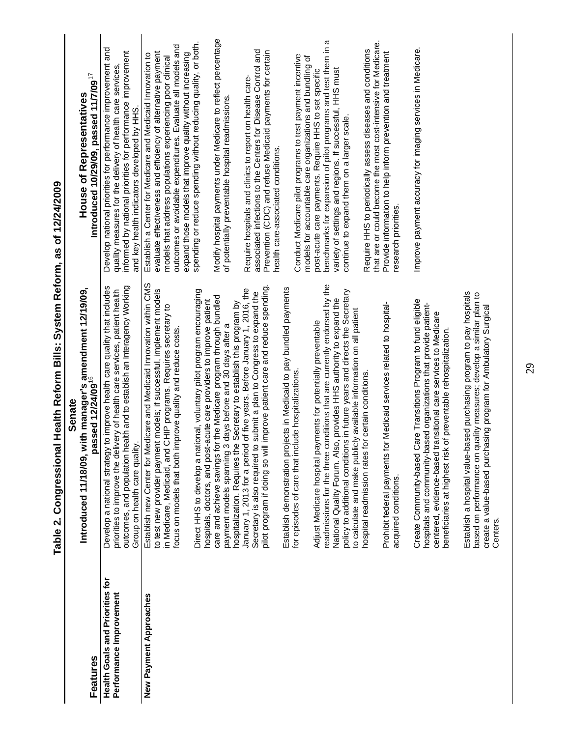|                                                                   | Senate<br>Introduced 11/18/09,                                                                                                                                                                                                                                                                                                                                                                                                                                                                                                                                                                                                                                                                                                                                                                                                                                                                                                                                                                                                                                                                                                                                                                                                                                                                                                                                                                                                                                                                                                                 | <b>House of Representatives</b>                                                                                                                                                                                                                                                                                                                                                                                                                                                                                                                                                                                                                                                                                                                                                                                                                                                                                                                                                                                                                                                                                                                                                                                                                                                                                                  |
|-------------------------------------------------------------------|------------------------------------------------------------------------------------------------------------------------------------------------------------------------------------------------------------------------------------------------------------------------------------------------------------------------------------------------------------------------------------------------------------------------------------------------------------------------------------------------------------------------------------------------------------------------------------------------------------------------------------------------------------------------------------------------------------------------------------------------------------------------------------------------------------------------------------------------------------------------------------------------------------------------------------------------------------------------------------------------------------------------------------------------------------------------------------------------------------------------------------------------------------------------------------------------------------------------------------------------------------------------------------------------------------------------------------------------------------------------------------------------------------------------------------------------------------------------------------------------------------------------------------------------|----------------------------------------------------------------------------------------------------------------------------------------------------------------------------------------------------------------------------------------------------------------------------------------------------------------------------------------------------------------------------------------------------------------------------------------------------------------------------------------------------------------------------------------------------------------------------------------------------------------------------------------------------------------------------------------------------------------------------------------------------------------------------------------------------------------------------------------------------------------------------------------------------------------------------------------------------------------------------------------------------------------------------------------------------------------------------------------------------------------------------------------------------------------------------------------------------------------------------------------------------------------------------------------------------------------------------------|
| Features                                                          | with manager's amendment 12/19/09,<br>passed 12/24/09 <sup>16</sup>                                                                                                                                                                                                                                                                                                                                                                                                                                                                                                                                                                                                                                                                                                                                                                                                                                                                                                                                                                                                                                                                                                                                                                                                                                                                                                                                                                                                                                                                            | Introduced 10/29/09, passed 11/7/09 $^{17}$                                                                                                                                                                                                                                                                                                                                                                                                                                                                                                                                                                                                                                                                                                                                                                                                                                                                                                                                                                                                                                                                                                                                                                                                                                                                                      |
| <b>Health Goals and Priorities for</b><br>Performance Improvement | health and to establish an Interagency Working<br>Develop a national strategy to improve health care quality that indudes<br>priorities to improve the delivery of health care services, patient health<br>Group on health care quality.<br>outcomes, and population                                                                                                                                                                                                                                                                                                                                                                                                                                                                                                                                                                                                                                                                                                                                                                                                                                                                                                                                                                                                                                                                                                                                                                                                                                                                           | Develop national priorities for performance improvement and<br>informed by national priorities for performance improvement<br>quality measures for the delivery of health care services,<br>and key health indicators developed by HHS.                                                                                                                                                                                                                                                                                                                                                                                                                                                                                                                                                                                                                                                                                                                                                                                                                                                                                                                                                                                                                                                                                          |
| New Payment Approaches                                            | Establish new Center for Medicare and Medicaid Innovation within CMS<br>readmissions for the three conditions that are currently endorsed by the<br>pilot program if doing so will improve patient care and reduce spending<br>Establish demonstration projects in Medicaid to pay bundled payments<br>January 1, 2013 for a period of five years. Before January 1, 2016, the<br>to test new provider payment models; if successful, implement models<br>Direct HHS to develop a national, voluntary pilot program encouraging<br>policy to additional conditions in future years and directs the Secretary<br>Secretary is also required to submit a plan to Congress to expand the<br>care and achieve savings for the Medicare program through bundled<br>National Quality Forum. Also, provides HHS authority to expand the<br>hospitals, doctors, and post-acute care providers to improve patient<br>hospitalization. Requires the Secretary to establish this program by<br>Prohibit federal payments for Medicaid services related to hospital-<br>in Medicare, Medicaid, and CHIP programs. Requires secretary to<br>to calculate and make publicly available information on all patient<br>ayments for potentially preventable<br>3 days before and 30 days after a<br>focus on models that both improve quality and reduce costs.<br>for episodes of care that include hospitalizations.<br>for certain conditions.<br>payment models spanning<br>Adjust Medicare hospital p<br>hospital readmission rates<br>acquired conditions. | Modify hospital payments under Medicare to reflect percentage<br>benchmarks for expansion of pilot programs and test them in a<br>that are or could become the most cost-intensive for Medicare.<br>spending or reduce spending without reducing quality, or both.<br>outcomes or avoidable expenditures. Evaluate all models and<br>Require HHS to periodically assess diseases and conditions<br>associated infections to the Centers for Disease Control and<br>Prevention (CDC) and refuse Medicaid payments for certain<br>evaluate effectiveness and efficiency of alternative payment<br>Provide information to help inform prevention and treatment<br>expand those models that improve quality without increasing<br>Establish a Center for Medicare and Medicaid Innovation to<br>Conduct Medicare pilot programs to test payment incentive<br>models for accountable care organizations and bundling of<br>models that address populations experiencing poor clinical<br>variety of settings and regions. If successful, HHS must<br>post-acute care payments. Require HHS to set specific<br>Require hospitals and clinics to report on health care-<br>of potentially preventable hospital readmissions<br>continue to expand them on a larger scale.<br>health care-associated conditions.<br>research priorities. |
|                                                                   | Care Transitions Program to fund eligible<br>hospitals and community-based organizations that provide patient-<br>centered, evidence-based transitional care services to Medicare<br>beneficiaries at highest risk of preventable rehospitalization.<br>Create Community-based                                                                                                                                                                                                                                                                                                                                                                                                                                                                                                                                                                                                                                                                                                                                                                                                                                                                                                                                                                                                                                                                                                                                                                                                                                                                 | Improve payment accuracy for imaging services in Medicare.                                                                                                                                                                                                                                                                                                                                                                                                                                                                                                                                                                                                                                                                                                                                                                                                                                                                                                                                                                                                                                                                                                                                                                                                                                                                       |
|                                                                   | Establish a hospital value-based purchasing program to pay hospitals<br>based on performance on quality measures; develop a similar plan to<br>create a value-based purchasing program for Ambulatory Surgical<br>Centers.                                                                                                                                                                                                                                                                                                                                                                                                                                                                                                                                                                                                                                                                                                                                                                                                                                                                                                                                                                                                                                                                                                                                                                                                                                                                                                                     |                                                                                                                                                                                                                                                                                                                                                                                                                                                                                                                                                                                                                                                                                                                                                                                                                                                                                                                                                                                                                                                                                                                                                                                                                                                                                                                                  |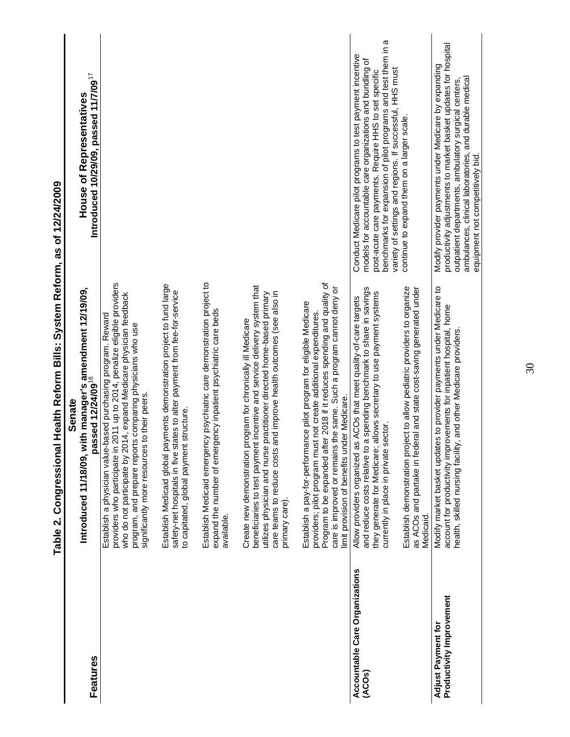|                                                | contrate to a contrator throw the contrator of the contract of the contract of the contract of the contract of the contract of the contract of the contract of the contract of the contract of the contract of the contract of                                                                                                            |                                                                                                                                                                                                                                                                                                              |
|------------------------------------------------|-------------------------------------------------------------------------------------------------------------------------------------------------------------------------------------------------------------------------------------------------------------------------------------------------------------------------------------------|--------------------------------------------------------------------------------------------------------------------------------------------------------------------------------------------------------------------------------------------------------------------------------------------------------------|
|                                                | Senate                                                                                                                                                                                                                                                                                                                                    |                                                                                                                                                                                                                                                                                                              |
| Features                                       | Introduced 11/18/09, with manager's amendment 12/19/09,<br>passed 12/24/09 <sup>16</sup>                                                                                                                                                                                                                                                  | Introduced 10/29/09, passed 11/7/09 $^{17}$<br><b>House of Representatives</b>                                                                                                                                                                                                                               |
|                                                | providers who participate in 2011 up to 2014, penalize eligible providers<br>who do not participate by 2014, expand Medicare physician feedback<br>Establish a physician value-based purchasing program. Reward<br>is comparing physicians who use<br>to their peers.<br>program, and prepare report<br>significantly more resources      |                                                                                                                                                                                                                                                                                                              |
|                                                | Establish Medicaid global payments demonstration project to fund large<br>safety-net hospitals in five states to alter payment from fee-for-service<br>to capitated, global payment structure.                                                                                                                                            |                                                                                                                                                                                                                                                                                                              |
|                                                | Establish Medicaid emergency psychiatric care demonstration project to<br>expand the number of emergency inpatient psychiatric care beds<br>available.                                                                                                                                                                                    |                                                                                                                                                                                                                                                                                                              |
|                                                | beneficiaries to test payment incentive and service delivery system that<br>care teams to reduce costs and improve health outcomes (see also in<br>utilizes physician and nurse practitioner directed home-based primary<br>Create new demonstration program for chronically ill Medicare<br>primary care).                               |                                                                                                                                                                                                                                                                                                              |
|                                                | Program to be expanded after 2018 if it reduces spending and quality of<br>care is improved or remains the same. Such a program cannot deny or<br>Establish a pay-for-performance pilot program for eligible Medicare<br>providers; pilot program must not create additional expenditures.<br>limit provision of benefits under Medicare. |                                                                                                                                                                                                                                                                                                              |
| Accountable Care Organizations<br>(ACOs)       | and reduce costs relative to a spending benchmark to share in savings<br>allows secretary to use payment systems<br>Allow providers organized as ACOs that meet quality-of-care targets<br>currently in place in private sector.<br>they generate for Medicare;                                                                           | benchmarks for expansion of pilot programs and test them in a<br>Conduct Medicare pilot programs to test payment incentive<br>models for accountable care organizations and bundling of<br>variety of settings and regions. If successful, HHS must<br>post-acute care payments. Require HHS to set specific |
|                                                | as ACOs and partake in federal and state cost-saving generated under<br>ject to allow pediatric providers to organize<br>Establish demonstration proj<br>Medicaid                                                                                                                                                                         | continue to expand them on a larger scale.                                                                                                                                                                                                                                                                   |
| Productivity Improvement<br>Adjust Payment for | es to provider payments under Medicare to<br>account for productivity improvements for inpatient hospital, home<br>health, skilled nursing facility, and other Medicare providers.<br>Modify market basket updat                                                                                                                          | productivity adjustments to market basket updates for hospital<br>Modify provider payments under Medicare by expanding<br>ambulances, clinical laboratories, and durable medical<br>outpatient departments, ambulatory surgical centers<br>equipment not competitively bid.                                  |

Table 2. Congressional Health Reform Bills: System Reform, as of 12/24/2009 **Table 2. Congressional Health Reform Bills: System Reform, as of 12/24/2009** 

30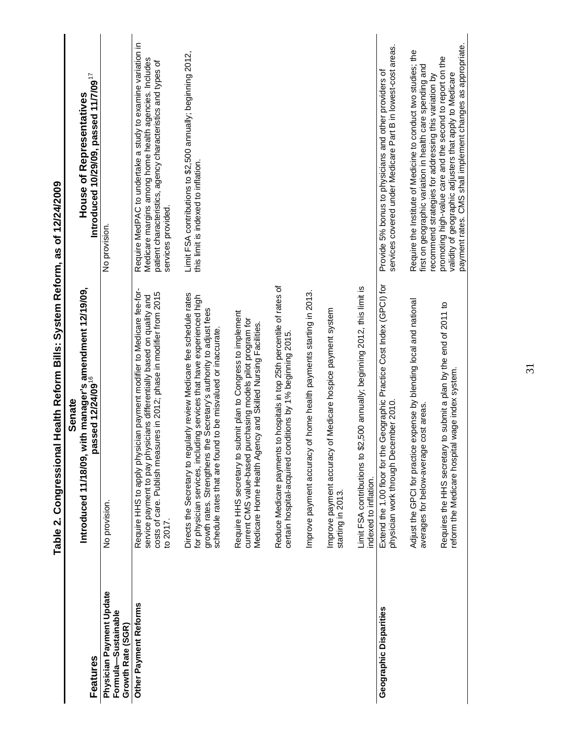|                                                                      | <b>Health Relorm Dills: System Relorm, as of 14/44/4009</b><br>lable 2. Congressiona                                                                                                                                                                                                |                                                                                                                                                                                                            |
|----------------------------------------------------------------------|-------------------------------------------------------------------------------------------------------------------------------------------------------------------------------------------------------------------------------------------------------------------------------------|------------------------------------------------------------------------------------------------------------------------------------------------------------------------------------------------------------|
| Features                                                             | Introduced 11/18/09, with manager's amendment 12/19/09,<br>passed 12/24/09 <sup>16</sup><br><b>Senate</b>                                                                                                                                                                           | Introduced 10/29/09, passed 11/7/09 $^{17}$<br><b>House of Representatives</b>                                                                                                                             |
| Physician Payment Update<br>Formula-Sustainable<br>Growth Rate (SGR) | No provision.                                                                                                                                                                                                                                                                       | No provision.                                                                                                                                                                                              |
| Other Payment Reforms                                                | Require HHS to apply physician payment modifier to Medicare fee-for-<br>costs of care. Publish measures in 2012; phase in modifier from 2015<br>service payment to pay physicians differentially based on quality and<br>to 2017.                                                   | Require MedPAC to undertake a study to examine variation in<br>Medicare margins among home health agencies. Includes<br>patient characteristics, agency characteristics and types of<br>services provided. |
|                                                                      | Directs the Secretary to regularly review Medicare fee schedule rates<br>for physician services, including services that have experienced high<br>growth rates. Strengthens the Secretary's authority to adjust fees<br>schedule rates that are found to be misvalued or inaccurate | Limit FSA contributions to \$2,500 annually; beginning 2012,<br>this limit is indexed to inflation.                                                                                                        |
|                                                                      | Require HHS secretary to submit plan to Congress to implement<br>current CMS value-based purchasing models pilot program for<br>Medicare Home Health Agency and Skilled Nursing Facilities.                                                                                         |                                                                                                                                                                                                            |
|                                                                      | to hospitals in top 25th percentile of rates of<br>certain hospital-acquired conditions by 1% beginning 2015.<br>Reduce Medicare payments                                                                                                                                           |                                                                                                                                                                                                            |
|                                                                      | of home health payments starting in 2013.<br>Improve payment accuracy                                                                                                                                                                                                               |                                                                                                                                                                                                            |
|                                                                      | of Medicare hospice payment system<br>Improve payment accuracy<br>starting in 2013.                                                                                                                                                                                                 |                                                                                                                                                                                                            |
|                                                                      | Limit FSA contributions to \$2,500 annually; beginning 2012, this limit is<br>indexed to inflation.                                                                                                                                                                                 |                                                                                                                                                                                                            |
| Geographic Disparities                                               | Geographic Practice Cost Index (GPCI) for<br>physician work through December 2010<br>Extend the 1.00 floor for the                                                                                                                                                                  | services covered under Medicare Part B in lowest-cost areas.<br>Provide 5% bonus to physicians and other providers of                                                                                      |
|                                                                      | expense by blending local and national<br>cost areas.<br>Adjust the GPCI for practice<br>averages for below-average                                                                                                                                                                 | Require the Institute of Medicine to conduct two studies; the<br>first on geographic variation in health care spending and<br>recommend strategies for addressing this variation by                        |
|                                                                      | Requires the HHS secretary to submit a plan by the end of 2011 to<br>reform the Medicare hospital wage index system.                                                                                                                                                                | payment rates. CMS shall implement changes as appropriate.<br>promoting high-value care and the second to report on the<br>validity of geographic adjusters that apply to Medicare                         |
|                                                                      |                                                                                                                                                                                                                                                                                     |                                                                                                                                                                                                            |

# **Table 2. Congressional Health Reform Bills: System Reform, as of 12/24/2009**  as of 12/24/2009 ssional Health Reform Rills: System Reform Table 2. Congre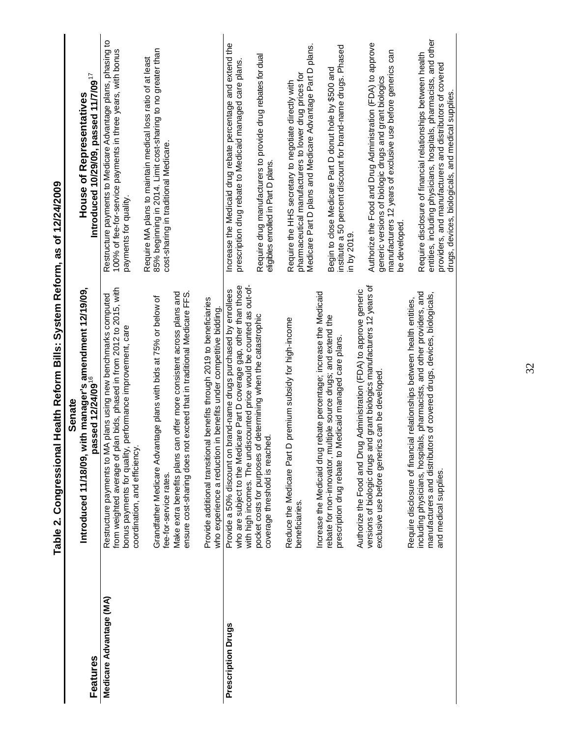|                         | <b>SOONキュニューロ Se "IIIO」と IIIDISへの 'SIIIO IIIIO」と IIIPDLI</b><br>lane 2. Voingland                                                                                                                                                                  |                                                                                                                                                                                                                                                    |
|-------------------------|----------------------------------------------------------------------------------------------------------------------------------------------------------------------------------------------------------------------------------------------------|----------------------------------------------------------------------------------------------------------------------------------------------------------------------------------------------------------------------------------------------------|
|                         | Senate                                                                                                                                                                                                                                             |                                                                                                                                                                                                                                                    |
| Features                | Introduced 11/18/09, with manager's amendment 12/19/09,<br>passed 12/24/09 <sup>16</sup>                                                                                                                                                           | Introduced 10/29/09, passed 11/7/09 $^{17}$<br><b>House of Representatives</b>                                                                                                                                                                     |
| Medicare Advantage (MA) | from weighted average of plan bids, phased in from 2012 to 2015, with<br>Restructure payments to MA plans using new benchmarks computed<br>performance improvement, care<br>bonus payments for quality,<br>coordination, and efficiency.           | Restructure payments to Medicare Advantage plans, phasing to<br>100% of fee-for-service payments in three years, with bonus<br>payments for quality.                                                                                               |
|                         | Make extra benefits plans can offer more consistent across plans and<br>ensure cost-sharing does not exceed that in traditional Medicare FFS.<br>Grandfather Medicare Advantage plans with bids at 75% or below of<br>fee-for-service rates.       | 85% beginning in 2014. Limit cost-sharing to no greater than<br>Require MA plans to maintain medical loss ratio of at least<br>cost-sharing in traditional Medicare.                                                                               |
|                         | Provide additional transitional benefits through 2019 to beneficiaries<br>in benefits under competitive bidding<br>who experience a reduction                                                                                                      |                                                                                                                                                                                                                                                    |
| Prescription Drugs      | with high incomes. The undiscounted price would be counted as out-of-<br>who are subject to the Medicare Part D coverage gap, other than those<br>brand-name drugs purchased by enrollees<br>Provide a 50% discount on                             | Increase the Medicaid drug rebate percentage and extend the<br>prescription drug rebate to Medicaid managed care plans.                                                                                                                            |
|                         | determining when the catastrophic<br>coverage threshold is reached<br>pocket costs for purposes of                                                                                                                                                 | Require drug manufacturers to provide drug rebates for dual<br>eligibles enrolled in Part D plans.                                                                                                                                                 |
|                         | premium subsidy for high-income<br>Reduce the Medicare Part D<br>beneficiaries.                                                                                                                                                                    | Medicare Part D plans and Medicare Advantage Part D plans.<br>pharmaceutical manufacturers to lower drug prices for<br>Require the HHS secretary to negotiate directly with                                                                        |
|                         | rebate percentage; increase the Medicaid<br>rebate for non-innovator, multiple source drugs; and extend the<br>prescription drug rebate to Medicaid managed care plans<br>Increase the Medicaid drug                                               | institute a 50 percent discount for brand-name drugs. Phased<br>Begin to close Medicare Part D donut hole by \$500 and                                                                                                                             |
|                         | Authorize the Food and Drug Administration (FDA) to approve generic                                                                                                                                                                                | in by 2019                                                                                                                                                                                                                                         |
|                         | versions of biologic drugs and grant biologics manufacturers 12 years of<br>exclusive use before generics can be developed                                                                                                                         | Authorize the Food and Drug Administration (FDA) to approve<br>manufacturers 12 years of exclusive use before generics can<br>generic versions of biologic drugs and grant biologics<br>be developed.                                              |
|                         | including physicians, hospitals, pharmacists, and other providers, and<br>manufacturers and distributors of covered drugs, devices, biologicals,<br>Require disclosure of financial relationships between health entities,<br>and medical supplies | entities, including physicians, hospitals, pharmacists, and other<br>Require disclosure of financial relationships between health<br>providers, and manufacturers and distributors of covered<br>drugs, devices, biologicals, and medical supplies |
|                         |                                                                                                                                                                                                                                                    |                                                                                                                                                                                                                                                    |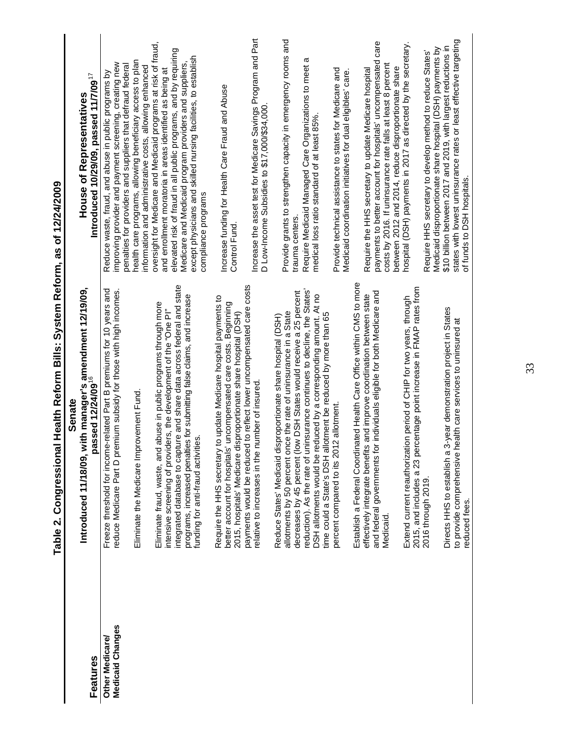|                                     | Senate                                                                                                                                                                                                                                                                                                                                   |                                                                                                                                                                                                                                                                                                                                                                                                             |
|-------------------------------------|------------------------------------------------------------------------------------------------------------------------------------------------------------------------------------------------------------------------------------------------------------------------------------------------------------------------------------------|-------------------------------------------------------------------------------------------------------------------------------------------------------------------------------------------------------------------------------------------------------------------------------------------------------------------------------------------------------------------------------------------------------------|
| Features                            | Introduced 11/18/09, with manager's amendment 12/19/09,<br>passed 12/24/09 <sup>16</sup>                                                                                                                                                                                                                                                 | Introduced 10/29/09, passed 11/7/09 $^{17}$<br><b>House of Representatives</b>                                                                                                                                                                                                                                                                                                                              |
| Medicaid Changes<br>Other Medicare/ | Freeze threshold for income-related Part B premiums for 10 years and<br>reduce Medicare Part D premium subsidy for those with high incomes.<br>Eliminate the Medicare Improvement Fund                                                                                                                                                   | health care programs, allowing beneficiary access to plan<br>improving provider and payment screening, creating new<br>penalties for providers and suppliers that defraud federal<br>Reduce waste, fraud, and abuse in public programs by                                                                                                                                                                   |
|                                     | integrated database to capture and share data across federal and state<br>programs, increased penalties for submitting false claims, and increase<br>abuse in public programs through more<br>intensive screening of providers, the development of the "One PI"<br>ues.<br>Eliminate fraud, waste, and<br>funding for anti-fraud activit | oversight for Medicare and Medicaid programs at risk of fraud,<br>elevated risk of fraud in all public programs, and by requiring<br>except physicians and skilled nursing facilities, to establish<br>Medicare and Medicaid program providers and suppliers,<br>information and administrative costs, allowing enhanced<br>and enrollment moratoria in areas identified as being at<br>compliance programs |
|                                     | to update Medicare hospital payments to<br>better account for hospitals' uncompensated care costs. Beginning<br>2015, hospitals' Medicare disproportionate share hospital (DSH)<br>Require the HHS secretary                                                                                                                             | Increase funding for Health Care Fraud and Abuse<br>Control Fund                                                                                                                                                                                                                                                                                                                                            |
|                                     | payments would be reduced to reflect lower uncompensated care costs<br>number of insured<br>relative to increases in the                                                                                                                                                                                                                 | Increase the asset test for Medicare Savings Program and Part<br>D Low-Income Subsidies to \$17,000/\$34,000                                                                                                                                                                                                                                                                                                |
|                                     | decreases by 45 percent (low DSH States would receive a 25 percent<br>allotments by 50 percent once the rate of uninsurance in a State<br>Reduce States' Medicaid disproportionate share hospital (DSH)                                                                                                                                  | Provide grants to strengthen capacity in emergency rooms and<br>trauma centers.                                                                                                                                                                                                                                                                                                                             |
|                                     | reduction). As the rate of uninsurance continues to decline, the States'<br>DSH allotments would be reduced by a corresponding amount. At no<br>time could a State's DSH allotment be reduced by more than 65                                                                                                                            | σ<br>Require Medicaid Managed Care Organizations to meet<br>medical loss ratio standard of at least 85%                                                                                                                                                                                                                                                                                                     |
|                                     | percent compared to its 2012 allotment.                                                                                                                                                                                                                                                                                                  | Provide technical assistance to states for Medicare and<br>Medicaid coordination initiatives for dual eligibles' care                                                                                                                                                                                                                                                                                       |
|                                     | Establish a Federal Coordinated Health Care Office within CMS to more                                                                                                                                                                                                                                                                    |                                                                                                                                                                                                                                                                                                                                                                                                             |
|                                     | and federal governments for individuals eligible for both Medicare and<br>effectively integrate benefits and improve coordination between state<br>Medicaid.                                                                                                                                                                             | care<br>payments to better account for hospitals' uncompensated<br>costs by 2016. If uninsurance rate falls at least 8 percent<br>Require the HHS secretary to update Medicare hospital                                                                                                                                                                                                                     |
|                                     | 2015, and includes a 23 percentage point increase in FMAP rates from<br>ion period of CHIP for two years, through<br>Extend current reauthorizat                                                                                                                                                                                         | hospital (DSH) payments in 2017 as directed by the secretary.<br>between 2012 and 2014, reduce disproportionate share                                                                                                                                                                                                                                                                                       |
|                                     | 2016 through 2019.                                                                                                                                                                                                                                                                                                                       | Medicaid disproportionate share hospital (DSH) payments by<br>Require HHS secretary to develop method to reduce States'                                                                                                                                                                                                                                                                                     |
|                                     | 3-year demonstration project in States<br>health care services to uninsured at<br>Directs HHS to establish a<br>to provide comprehensive<br>reduced fees.                                                                                                                                                                                | states with lowest uninsurance rates or least effective targeting<br>\$10 billion between 2017 and 2019, with largest reductions in<br>of funds to DSH hospitals                                                                                                                                                                                                                                            |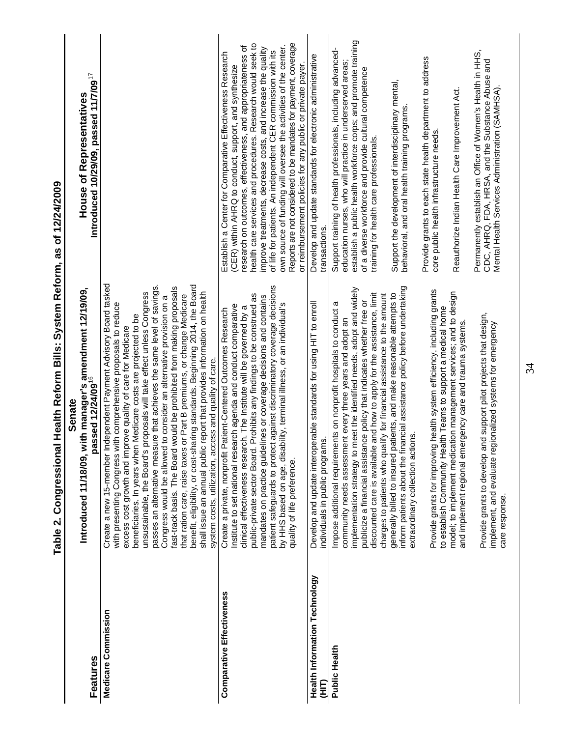|                                             | -אביב - האנט יונדר אינדי אינדי אינדי אינדי אינדי אינדי אינדי אינדי אינדי אינדי א<br>  D  2  D  D  D  D  D  D <br>- 1<br>DID-2<br>D                                                                                                                                                                                                                                                                                                                                                                                                                                                                                                                                                                                                                                                                                                                                        | ことりこ                                                                                                                                                                                                                                                                                                                                                                                                                                                                                                                                                                                  |
|---------------------------------------------|---------------------------------------------------------------------------------------------------------------------------------------------------------------------------------------------------------------------------------------------------------------------------------------------------------------------------------------------------------------------------------------------------------------------------------------------------------------------------------------------------------------------------------------------------------------------------------------------------------------------------------------------------------------------------------------------------------------------------------------------------------------------------------------------------------------------------------------------------------------------------|---------------------------------------------------------------------------------------------------------------------------------------------------------------------------------------------------------------------------------------------------------------------------------------------------------------------------------------------------------------------------------------------------------------------------------------------------------------------------------------------------------------------------------------------------------------------------------------|
| Features                                    | with manager's amendment 12/19/09,<br>passed 12/24/09 <sup>16</sup><br>Senate<br>Introduced 11/18/09,                                                                                                                                                                                                                                                                                                                                                                                                                                                                                                                                                                                                                                                                                                                                                                     | Introduced 10/29/09, passed 11/7/09 <sup>17</sup><br><b>House of Representatives</b>                                                                                                                                                                                                                                                                                                                                                                                                                                                                                                  |
| Medicare Commission                         | Independent Payment Advisory Board tasked<br>benefit, eligibility, or cost-sharing standards. Beginning 2014, the Board<br>passes an alternative measure that achieves the same level of savings.<br>fast-track basis. The Board would be prohibited from making proposals<br>unsustainable, the Board's proposals will take effect unless Congress<br>shall issue an annual public report that provides information on health<br>that ration care, raise taxes or Part B premiums, or change Medicare<br>Congress would be allowed to consider an alternative provision on a<br>with comprehensive proposals to reduce<br>beneficiaries. In years when Medicare costs are projected to be<br>excess cost growth and improve quality of care for Medicare<br>system costs, utilization, access and quality of care.<br>with presenting Congress<br>Create a new 15-member |                                                                                                                                                                                                                                                                                                                                                                                                                                                                                                                                                                                       |
| Comparative Effectiveness                   | patient safeguards to protect against discriminatory coverage decisions<br>public-private sector Board. Prohibits any findings to be construed as<br>mandates on practice guidelines or coverage decisions and contains<br>by HHS based on age, disability, terminal illness, or an individual's<br>Institute to set national research agenda and conduct comparative<br>clinical effectiveness research. The Institute will be governed by a<br>Patient-Centered Outcomes Research<br>Create a private, nonprofit<br>quality of life preference.                                                                                                                                                                                                                                                                                                                         | health care services and procedures. Research would seek to<br>Reports are not considered to be mandates for payment, coverage<br>own source of funding will oversee the activities of the center.<br>research on outcomes, effectiveness, and appropriateness of<br>improve treatments, decrease costs, and increase the quality<br>of life for patients. An independent CER commission with its<br>Establish a Center for Comparative Effectiveness Research<br>or reimbursement policies for any public or private payer.<br>(CER) within AHRQ to conduct, support, and synthesize |
| <b>Health Information Technology</b><br>EHE | Develop and update interoperable standards for using HIT to enroll<br>individuals in public programs.                                                                                                                                                                                                                                                                                                                                                                                                                                                                                                                                                                                                                                                                                                                                                                     | Develop and update standards for electronic administrative<br>transactions.                                                                                                                                                                                                                                                                                                                                                                                                                                                                                                           |
| Public Health                               | inform patients about the financial assistance policy before undertaking<br>implementation strategy to meet the identified needs, adopt and widely<br>discounted care is available and how to apply for the assistance, limit<br>generally billed to insured patients, and make reasonable attempts to<br>charges to patients who qualify for financial assistance to the amount<br>publicize a financial assistance policy that indicates whether free or<br>ω<br>Impose additional requirements on nonprofit hospitals to conduct<br>community needs assessment every three years and adopt an<br>extraordinary collection actions.                                                                                                                                                                                                                                     | establish a public health workforce corps; and promote training<br>Support training of health professionals, including advanced-<br>education nurses, who will practice in underserved areas;<br>of a diverse workforce and provide cultural competence<br>Support the development of interdisciplinary mental,<br>behavioral, and oral health training programs.<br>training for health care professionals.                                                                                                                                                                          |
|                                             | Provide grants for improving health system efficiency, including grants<br>model; to implement medication management services; and to design<br>to establish Community Health Teams to support a medical home<br>and implement regional emergency care and trauma systems.                                                                                                                                                                                                                                                                                                                                                                                                                                                                                                                                                                                                | Provide grants to each state health department to address<br>Reauthorize Indian Health Care Improvement Act.<br>core public health infrastructure needs.                                                                                                                                                                                                                                                                                                                                                                                                                              |
|                                             | and support pilot projects that design,<br>implement, and evaluate regionalized systems for emergency<br>Provide grants to develop<br>care response                                                                                                                                                                                                                                                                                                                                                                                                                                                                                                                                                                                                                                                                                                                       | Permanently establish an Office of Women's Health in HHS,<br>CDC, AHRQ, FDA, HRSA, and the Substance Abuse and<br>Mental Health Services Administration (SAMHSA)                                                                                                                                                                                                                                                                                                                                                                                                                      |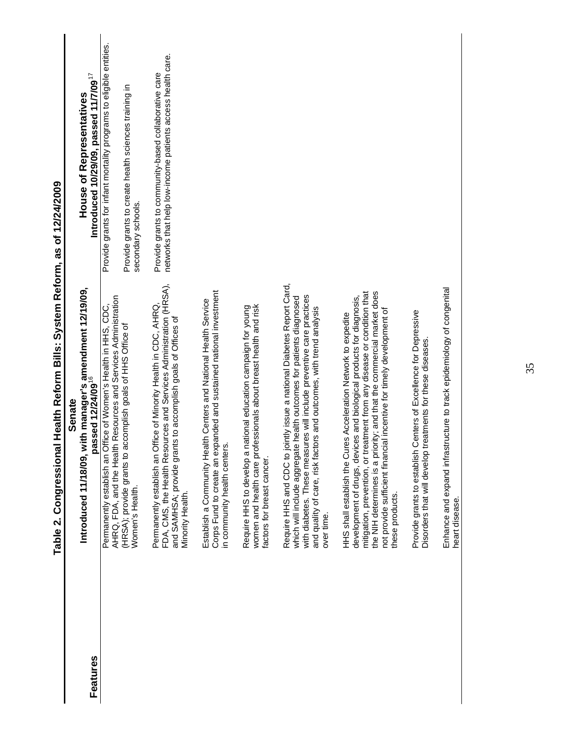|          | Introduced 11/18/09, with manager's amendment 12/19/09,<br>passed 12/24/09 <sup>16</sup><br><b>Senate</b>                                                                                                                                                                                                                                                                                | House of Representatives                                                                                                                         |
|----------|------------------------------------------------------------------------------------------------------------------------------------------------------------------------------------------------------------------------------------------------------------------------------------------------------------------------------------------------------------------------------------------|--------------------------------------------------------------------------------------------------------------------------------------------------|
| Features |                                                                                                                                                                                                                                                                                                                                                                                          | Introduced 10/29/09, passed 11/7/09 $^{17}$                                                                                                      |
|          | AHRQ, FDA, and the Health Resources and Services Administration<br>Permanently establish an Office of Women's Health in HHS, CDC,<br>(HRSA); provide grants to accomplish goals of HHS Office of<br>Women's Health.                                                                                                                                                                      | Provide grants for infant mortality programs to eligible entities.<br>Provide grants to create health sciences training in<br>secondary schools. |
|          | FDA, CMS, the Health Resources and Services Administration (HRSA),<br>Permanently establish an Office of Minority Health in CDC, AHRQ,<br>to accomplish goals of Offices of<br>and SAMHSA; provide grants<br>Minority Health.                                                                                                                                                            | networks that help low-income patients access health care.<br>Provide grants to community-based collaborative care                               |
|          | Corps Fund to create an expanded and sustained national investment<br>Establish a Community Health Centers and National Health Service<br>in community health centers.                                                                                                                                                                                                                   |                                                                                                                                                  |
|          | women and health care professionals about breast health and risk<br>Require HHS to develop a national education campaign for young<br>factors for breast cancer.                                                                                                                                                                                                                         |                                                                                                                                                  |
|          | Require HHS and CDC to jointly issue a national Diabetes Report Card,<br>with diabetes. These measures will include preventive care practices<br>which will include aggregate health outcomes for patients diagnosed<br>and quality of care, risk factors and outcomes, with trend analysis<br>over time.                                                                                |                                                                                                                                                  |
|          | mitigation, prevention, or treatment from any disease or condition that<br>the NIH determines is a priority; and that the commercial market does<br>development of drugs, devices and biological products for diagnosis,<br>incentive for timely development of<br>HHS shall establish the Cures Acceleration Network to expedite<br>not provide sufficient financial<br>these products. |                                                                                                                                                  |
|          | Provide grants to establish Centers of Excellence for Depressive<br>Disorders that will develop treatments for these diseases.                                                                                                                                                                                                                                                           |                                                                                                                                                  |
|          | cture to track epidemiology of congenital<br>Enhance and expand infrastru<br>heart disease.                                                                                                                                                                                                                                                                                              |                                                                                                                                                  |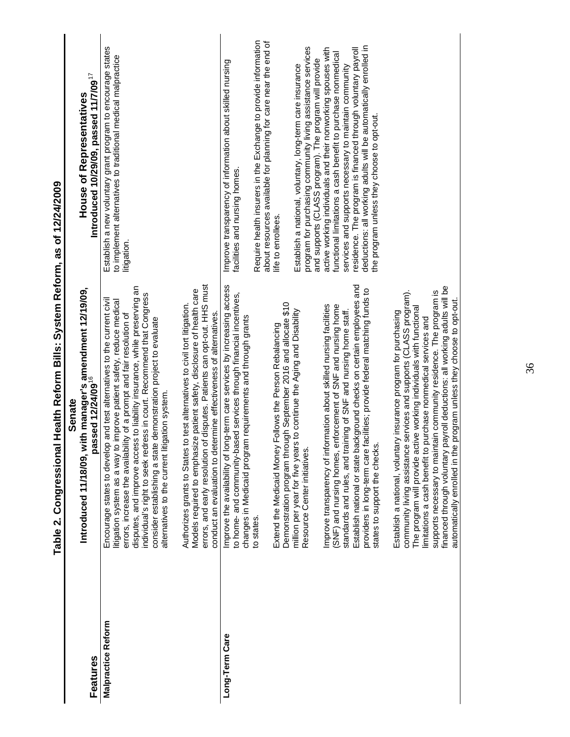|                           | פטאריב (לא באומות המונח באומות המונח באומות המונח המונח המונח המונח המונח המונח ה<br>ו פוסופאונים ל - א האפורים<br>אוני                                                                                                                                                                                                                                                                                                                                                                                   |                                                                                                                                                                                       |
|---------------------------|-----------------------------------------------------------------------------------------------------------------------------------------------------------------------------------------------------------------------------------------------------------------------------------------------------------------------------------------------------------------------------------------------------------------------------------------------------------------------------------------------------------|---------------------------------------------------------------------------------------------------------------------------------------------------------------------------------------|
|                           | <b>Senate</b><br>Introduced 11/18/09, wit                                                                                                                                                                                                                                                                                                                                                                                                                                                                 | <b>House of Representatives</b>                                                                                                                                                       |
| Features                  | , with manager's amendment 12/19/09,<br>passed 12/24/09 <sup>16</sup>                                                                                                                                                                                                                                                                                                                                                                                                                                     | Introduced 10/29/09, passed 11/7/09 $^{17}$                                                                                                                                           |
| <b>Malpractice Reform</b> | disputes, and improve access to liability insurance, while preserving an<br>individual's right to seek redress in court. Recommend that Congress<br>and test alternatives to the current civil<br>mprove patient safety, reduce medical<br>errors, increase the availability of a prompt and fair resolution of<br>demonstration project to evaluate<br>alternatives to the current litigation system.<br>consider establishing a state<br>litigation system as a way to i<br>Encourage states to develop | Establish a new voluntary grant program to encourage states<br>to implement alternatives to traditional medical malpractice<br>litigation.                                            |
|                           | disputes. Patients can opt-out. HHS must<br>Models required to emphasize patient safety, disclosure of health care<br>Authorizes grants to States to test alternatives to civil tort litigation.<br>conduct an evaluation to determine effectiveness of alternatives.<br>errors, and early resolution of                                                                                                                                                                                                  |                                                                                                                                                                                       |
| Long-Term Care            | Improve the availability of long-term care services by increasing access<br>to home- and community-based services through financial incentives,<br>requirements and through grants<br>changes in Medicaid program                                                                                                                                                                                                                                                                                         | Improve transparency of information about skilled nursing<br>facilities and nursing homes.                                                                                            |
|                           | to states.                                                                                                                                                                                                                                                                                                                                                                                                                                                                                                | Require health insurers in the Exchange to provide information<br>about resources available for planning for care near the end of                                                     |
|                           | Demonstration program through September 2016 and allocate \$10<br>Extend the Medicaid Money Follows the Person Rebalancing                                                                                                                                                                                                                                                                                                                                                                                | life to enrollees.                                                                                                                                                                    |
|                           | to continue the Aging and Disability<br>million per year for five years<br>Resource Center initiatives.                                                                                                                                                                                                                                                                                                                                                                                                   | program for purchasing community living assistance services<br>and supports (CLASS program). The program will provide<br>Establish a national, voluntary, long-term care insurance    |
|                           | Improve transparency of information about skilled nursing facilities<br>(SNF) and nursing homes, enforcement of SNF and nursing home<br>standards and rules, and training of SNF and nursing home staff.                                                                                                                                                                                                                                                                                                  | active working individuals and their nonworking spouses with<br>functional limitations a cash benefit to purchase nonmedical<br>services and supports necessary to maintain community |
|                           | Establish national or state background checks on certain employees and<br>cilities; provide federal matching funds to<br>providers in long-term care fa<br>states to support the checks.                                                                                                                                                                                                                                                                                                                  | deductions: all working adults will be automatically enrolled in<br>residence. The program is financed through voluntary payroll<br>the program unless they choose to opt-out.        |
|                           | financed through voluntary payroll deductions: all working adults will be<br>supports necessary to maintain community residence. The program is<br>community living assistance services and supports (CLASS program).<br>The program will provide active working individuals with functional<br>Establish a national, voluntary insurance program for purchasing<br>limitations a cash benefit to purchase nonmedical services and                                                                        |                                                                                                                                                                                       |
|                           | automatically enrolled in the program unless they choose to opt-out.                                                                                                                                                                                                                                                                                                                                                                                                                                      |                                                                                                                                                                                       |